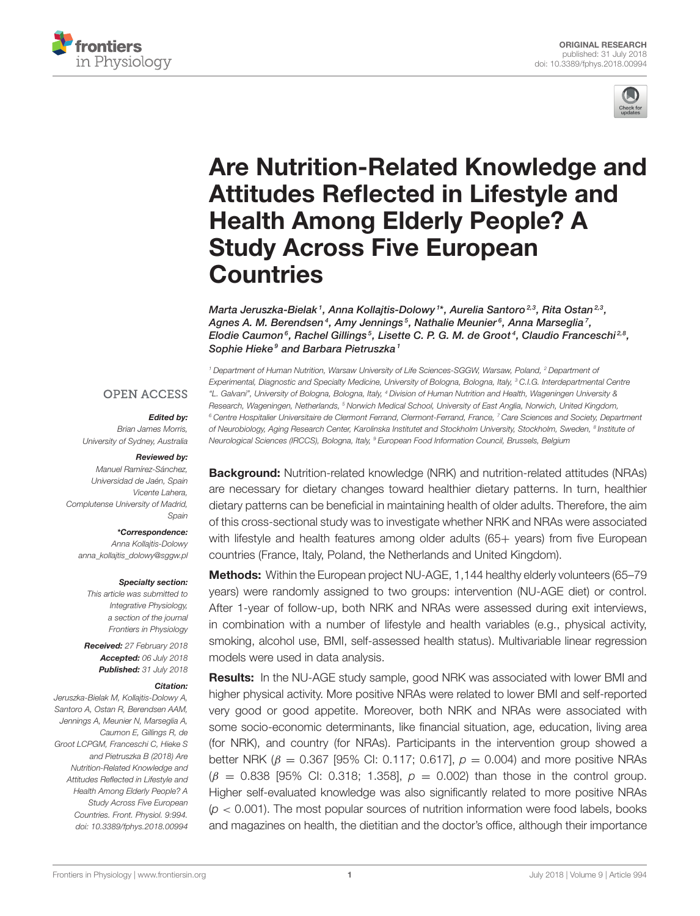



# [Are Nutrition-Related Knowledge and](https://www.frontiersin.org/articles/10.3389/fphys.2018.00994/full) Attitudes Reflected in Lifestyle and Health Among Elderly People? A Study Across Five European **Countries**

[Marta Jeruszka-Bielak](http://loop.frontiersin.org/people/530813/overview) <sup>1</sup>, [Anna Kollajtis-Dolowy](http://loop.frontiersin.org/people/532729/overview) 1\*, [Aurelia Santoro](http://loop.frontiersin.org/people/139414/overview) 23, Rita Ostan 23, Agnes A. M. Berendsen<sup>4</sup>, [Amy Jennings](http://loop.frontiersin.org/people/549314/overview)<sup>5</sup>, [Nathalie Meunier](http://loop.frontiersin.org/people/509659/overview)<sup>6</sup>, [Anna Marseglia](http://loop.frontiersin.org/people/449636/overview)<sup>7</sup>, [Elodie Caumon](http://loop.frontiersin.org/people/537977/overview) $^6$ , Rachel Gillings $^5$ , [Lisette C. P. G. M. de Groot](http://loop.frontiersin.org/people/438587/overview) $^4$ , [Claudio Franceschi](http://loop.frontiersin.org/people/127624/overview) $^{2,8},$ Sophie Hieke<sup>9</sup> and [Barbara Pietruszka](http://loop.frontiersin.org/people/451371/overview)<sup>1</sup>

#### **OPEN ACCESS**

#### Edited by:

Brian James Morris, University of Sydney, Australia

#### Reviewed by:

Manuel Ramírez-Sánchez, Universidad de Jaén, Spain Vicente Lahera, Complutense University of Madrid, Spain

#### \*Correspondence:

Anna Kollajtis-Dolowy [anna\\_kollajtis\\_dolowy@sggw.pl](mailto:anna_kollajtis_dolowy@sggw.pl)

#### Specialty section:

This article was submitted to Integrative Physiology, a section of the journal Frontiers in Physiology

Received: 27 February 2018 Accepted: 06 July 2018 Published: 31 July 2018

#### Citation:

Jeruszka-Bielak M, Kollajtis-Dolowy A, Santoro A, Ostan R, Berendsen AAM, Jennings A, Meunier N, Marseglia A, Caumon E, Gillings R, de Groot LCPGM, Franceschi C, Hieke S and Pietruszka B (2018) Are Nutrition-Related Knowledge and Attitudes Reflected in Lifestyle and Health Among Elderly People? A Study Across Five European Countries. Front. Physiol. 9:994. doi: [10.3389/fphys.2018.00994](https://doi.org/10.3389/fphys.2018.00994)

<sup>1</sup> Department of Human Nutrition, Warsaw University of Life Sciences-SGGW, Warsaw, Poland, <sup>2</sup> Department of Experimental, Diagnostic and Specialty Medicine, University of Bologna, Bologna, Italy, <sup>3</sup> C.I.G. Interdepartmental Centre "L. Galvani", University of Bologna, Bologna, Italy, <sup>4</sup> Division of Human Nutrition and Health, Wageningen University & Research, Wageningen, Netherlands, <sup>5</sup> Norwich Medical School, University of East Anglia, Norwich, United Kingdom, <sup>6</sup> Centre Hospitalier Universitaire de Clermont Ferrand, Clermont-Ferrand, France, 7 Care Sciences and Society, Department of Neurobiology, Aging Research Center, Karolinska Institutet and Stockholm University, Stockholm, Sweden, <sup>8</sup> Institute o*f* Neurological Sciences (IRCCS), Bologna, Italy, <sup>9</sup> European Food Information Council, Brussels, Belgium

Background: Nutrition-related knowledge (NRK) and nutrition-related attitudes (NRAs) are necessary for dietary changes toward healthier dietary patterns. In turn, healthier dietary patterns can be beneficial in maintaining health of older adults. Therefore, the aim of this cross-sectional study was to investigate whether NRK and NRAs were associated with lifestyle and health features among older adults (65+ years) from five European countries (France, Italy, Poland, the Netherlands and United Kingdom).

Methods: Within the European project NU-AGE, 1,144 healthy elderly volunteers (65-79 years) were randomly assigned to two groups: intervention (NU-AGE diet) or control. After 1-year of follow-up, both NRK and NRAs were assessed during exit interviews, in combination with a number of lifestyle and health variables (e.g., physical activity, smoking, alcohol use, BMI, self-assessed health status). Multivariable linear regression models were used in data analysis.

**Results:** In the NU-AGE study sample, good NRK was associated with lower BMI and higher physical activity. More positive NRAs were related to lower BMI and self-reported very good or good appetite. Moreover, both NRK and NRAs were associated with some socio-economic determinants, like financial situation, age, education, living area (for NRK), and country (for NRAs). Participants in the intervention group showed a better NRK ( $\beta$  = 0.367 [95% CI: 0.117; 0.617],  $\rho$  = 0.004) and more positive NRAs  $(\beta = 0.838$  [95% CI: 0.318; 1.358],  $\rho = 0.002$  than those in the control group. Higher self-evaluated knowledge was also significantly related to more positive NRAs  $(p < 0.001)$ . The most popular sources of nutrition information were food labels, books and magazines on health, the dietitian and the doctor's office, although their importance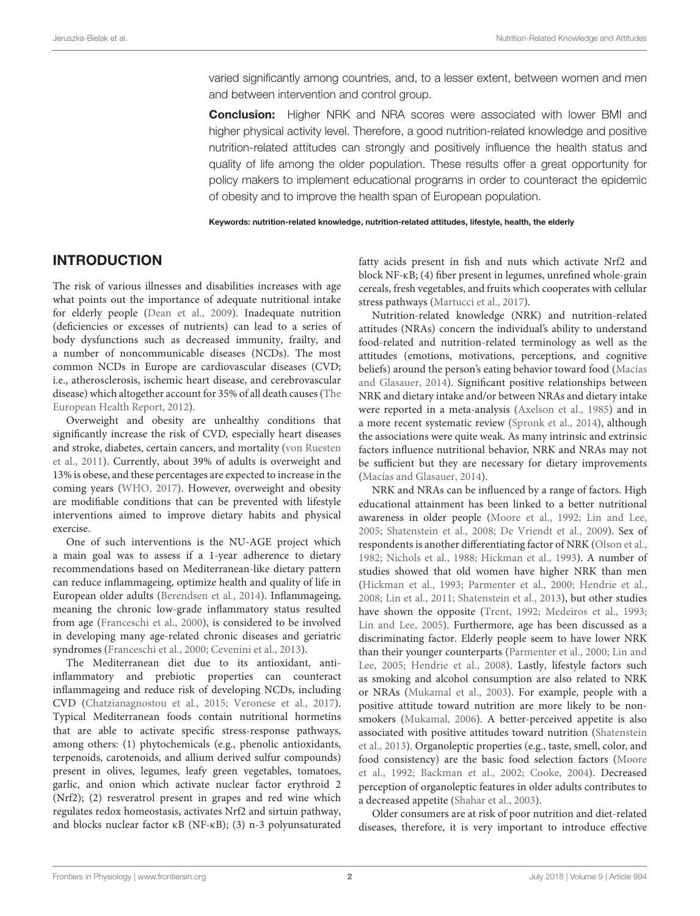varied significantly among countries, and, to a lesser extent, between women and men and between intervention and control group.

Conclusion: Higher NRK and NRA scores were associated with lower BMI and higher physical activity level. Therefore, a good nutrition-related knowledge and positive nutrition-related attitudes can strongly and positively influence the health status and quality of life among the older population. These results offer a great opportunity for policy makers to implement educational programs in order to counteract the epidemic of obesity and to improve the health span of European population.

Keywords: nutrition-related knowledge, nutrition-related attitudes, lifestyle, health, the elderly

### INTRODUCTION

The risk of various illnesses and disabilities increases with age what points out the importance of adequate nutritional intake for elderly people [\(Dean et al., 2009\)](#page-11-0). Inadequate nutrition (deficiencies or excesses of nutrients) can lead to a series of body dysfunctions such as decreased immunity, frailty, and a number of noncommunicable diseases (NCDs). The most common NCDs in Europe are cardiovascular diseases (CVD; i.e., atherosclerosis, ischemic heart disease, and cerebrovascular disease) which altogether account for 35% of all death causes (The European Health Report, [2012\)](#page-12-0).

Overweight and obesity are unhealthy conditions that significantly increase the risk of CVD, especially heart diseases and stroke, diabetes, certain cancers, and mortality (von Ruesten et al., [2011\)](#page-12-1). Currently, about 39% of adults is overweight and 13% is obese, and these percentages are expected to increase in the coming years [\(WHO, 2017\)](#page-12-2). However, overweight and obesity are modifiable conditions that can be prevented with lifestyle interventions aimed to improve dietary habits and physical exercise.

One of such interventions is the NU-AGE project which a main goal was to assess if a 1-year adherence to dietary recommendations based on Mediterranean-like dietary pattern can reduce inflammageing, optimize health and quality of life in European older adults [\(Berendsen et al., 2014\)](#page-10-0). Inflammageing, meaning the chronic low-grade inflammatory status resulted from age [\(Franceschi et al., 2000\)](#page-11-1), is considered to be involved in developing many age-related chronic diseases and geriatric syndromes [\(Franceschi et al., 2000;](#page-11-1) [Cevenini et al., 2013\)](#page-11-2).

The Mediterranean diet due to its antioxidant, antiinflammatory and prebiotic properties can counteract inflammageing and reduce risk of developing NCDs, including CVD [\(Chatzianagnostou et al., 2015;](#page-11-3) [Veronese et al., 2017\)](#page-12-3). Typical Mediterranean foods contain nutritional hormetins that are able to activate specific stress-response pathways, among others: (1) phytochemicals (e.g., phenolic antioxidants, terpenoids, carotenoids, and allium derived sulfur compounds) present in olives, legumes, leafy green vegetables, tomatoes, garlic, and onion which activate nuclear factor erythroid 2 (Nrf2); (2) resveratrol present in grapes and red wine which regulates redox homeostasis, activates Nrf2 and sirtuin pathway, and blocks nuclear factor κB (NF-κB); (3) n-3 polyunsaturated fatty acids present in fish and nuts which activate Nrf2 and block NF-κB; (4) fiber present in legumes, unrefined whole-grain cereals, fresh vegetables, and fruits which cooperates with cellular stress pathways [\(Martucci et al., 2017\)](#page-11-4).

Nutrition-related knowledge (NRK) and nutrition-related attitudes (NRAs) concern the individual's ability to understand food-related and nutrition-related terminology as well as the attitudes (emotions, motivations, perceptions, and cognitive beliefs) around the person's eating behavior toward food (Macías and Glasauer, [2014\)](#page-11-5). Significant positive relationships between NRK and dietary intake and/or between NRAs and dietary intake were reported in a meta-analysis [\(Axelson et al., 1985\)](#page-10-1) and in a more recent systematic review [\(Spronk et al., 2014\)](#page-12-4), although the associations were quite weak. As many intrinsic and extrinsic factors influence nutritional behavior, NRK and NRAs may not be sufficient but they are necessary for dietary improvements [\(Macías and Glasauer, 2014\)](#page-11-5).

NRK and NRAs can be influenced by a range of factors. High educational attainment has been linked to a better nutritional awareness in older people [\(Moore et al., 1992;](#page-11-6) [Lin and Lee,](#page-11-7) [2005;](#page-11-7) [Shatenstein et al., 2008;](#page-11-8) [De Vriendt et al., 2009\)](#page-11-9). Sex of respondents is another differentiating factor of NRK [\(Olson et al.,](#page-11-10) [1982;](#page-11-10) [Nichols et al., 1988;](#page-11-11) [Hickman et al., 1993\)](#page-11-12). A number of studies showed that old women have higher NRK than men [\(Hickman et al., 1993;](#page-11-12) [Parmenter et al., 2000;](#page-11-13) [Hendrie et al.,](#page-11-14) [2008;](#page-11-14) [Lin et al., 2011;](#page-11-15) [Shatenstein et al., 2013\)](#page-11-16), but other studies have shown the opposite [\(Trent, 1992;](#page-12-5) [Medeiros et al., 1993;](#page-11-17) [Lin and Lee, 2005\)](#page-11-7). Furthermore, age has been discussed as a discriminating factor. Elderly people seem to have lower NRK than their younger counterparts [\(Parmenter et al., 2000;](#page-11-13) Lin and Lee, [2005;](#page-11-7) [Hendrie et al., 2008\)](#page-11-14). Lastly, lifestyle factors such as smoking and alcohol consumption are also related to NRK or NRAs [\(Mukamal et al., 2003\)](#page-11-18). For example, people with a positive attitude toward nutrition are more likely to be nonsmokers [\(Mukamal, 2006\)](#page-11-19). A better-perceived appetite is also associated with positive attitudes toward nutrition (Shatenstein et al., [2013\)](#page-11-16). Organoleptic properties (e.g., taste, smell, color, and food consistency) are the basic food selection factors (Moore et al., [1992;](#page-11-6) [Backman et al., 2002;](#page-10-2) [Cooke, 2004\)](#page-11-20). Decreased perception of organoleptic features in older adults contributes to a decreased appetite [\(Shahar et al., 2003\)](#page-11-21).

Older consumers are at risk of poor nutrition and diet-related diseases, therefore, it is very important to introduce effective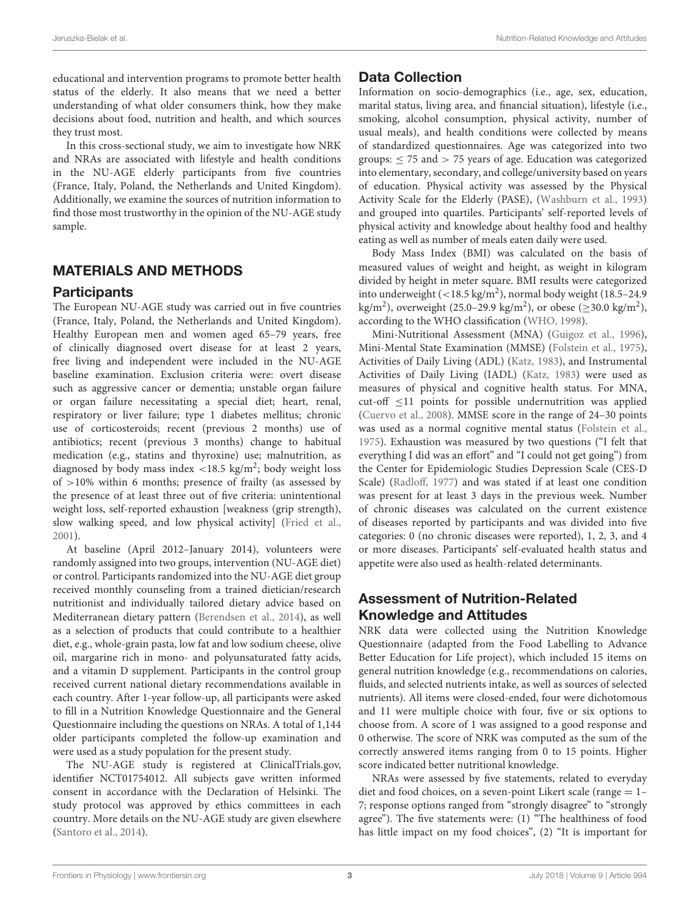educational and intervention programs to promote better health status of the elderly. It also means that we need a better understanding of what older consumers think, how they make decisions about food, nutrition and health, and which sources they trust most.

In this cross-sectional study, we aim to investigate how NRK and NRAs are associated with lifestyle and health conditions in the NU-AGE elderly participants from five countries (France, Italy, Poland, the Netherlands and United Kingdom). Additionally, we examine the sources of nutrition information to find those most trustworthy in the opinion of the NU-AGE study sample.

## MATERIALS AND METHODS

#### **Participants**

The European NU-AGE study was carried out in five countries (France, Italy, Poland, the Netherlands and United Kingdom). Healthy European men and women aged 65–79 years, free of clinically diagnosed overt disease for at least 2 years, free living and independent were included in the NU-AGE baseline examination. Exclusion criteria were: overt disease such as aggressive cancer or dementia; unstable organ failure or organ failure necessitating a special diet; heart, renal, respiratory or liver failure; type 1 diabetes mellitus; chronic use of corticosteroids; recent (previous 2 months) use of antibiotics; recent (previous 3 months) change to habitual medication (e.g., statins and thyroxine) use; malnutrition, as diagnosed by body mass index  $\langle 18.5 \text{ kg/m}^2 \rangle$ ; body weight loss of  $>10\%$  within 6 months; presence of frailty (as assessed by the presence of at least three out of five criteria: unintentional weight loss, self-reported exhaustion [weakness (grip strength), slow walking speed, and low physical activity] [\(Fried et al.,](#page-11-22) [2001\)](#page-11-22).

At baseline (April 2012–January 2014), volunteers were randomly assigned into two groups, intervention (NU-AGE diet) or control. Participants randomized into the NU-AGE diet group received monthly counseling from a trained dietician/research nutritionist and individually tailored dietary advice based on Mediterranean dietary pattern [\(Berendsen et al., 2014\)](#page-10-0), as well as a selection of products that could contribute to a healthier diet, e.g., whole-grain pasta, low fat and low sodium cheese, olive oil, margarine rich in mono- and polyunsaturated fatty acids, and a vitamin D supplement. Participants in the control group received current national dietary recommendations available in each country. After 1-year follow-up, all participants were asked to fill in a Nutrition Knowledge Questionnaire and the General Questionnaire including the questions on NRAs. A total of 1,144 older participants completed the follow-up examination and were used as a study population for the present study.

The NU-AGE study is registered at ClinicalTrials.gov, identifier NCT01754012. All subjects gave written informed consent in accordance with the Declaration of Helsinki. The study protocol was approved by ethics committees in each country. More details on the NU-AGE study are given elsewhere [\(Santoro et al., 2014\)](#page-11-23).

### Data Collection

Information on socio-demographics (i.e., age, sex, education, marital status, living area, and financial situation), lifestyle (i.e., smoking, alcohol consumption, physical activity, number of usual meals), and health conditions were collected by means of standardized questionnaires. Age was categorized into two groups:  $\leq$  75 and  $>$  75 years of age. Education was categorized into elementary, secondary, and college/university based on years of education. Physical activity was assessed by the Physical Activity Scale for the Elderly (PASE), [\(Washburn et al., 1993\)](#page-12-6) and grouped into quartiles. Participants' self-reported levels of physical activity and knowledge about healthy food and healthy eating as well as number of meals eaten daily were used.

Body Mass Index (BMI) was calculated on the basis of measured values of weight and height, as weight in kilogram divided by height in meter square. BMI results were categorized into underweight  $(<18.5 \text{ kg/m}^2)$ , normal body weight (18.5-24.9) kg/m<sup>2</sup>), overweight (25.0–29.9 kg/m<sup>2</sup>), or obese ( $\geq$ 30.0 kg/m<sup>2</sup>), according to the WHO classification [\(WHO, 1998\)](#page-12-7).

Mini-Nutritional Assessment (MNA) [\(Guigoz et al., 1996\)](#page-11-24), Mini-Mental State Examination (MMSE) [\(Folstein et al., 1975\)](#page-11-25), Activities of Daily Living (ADL) [\(Katz, 1983\)](#page-11-26), and Instrumental Activities of Daily Living (IADL) [\(Katz, 1983\)](#page-11-26) were used as measures of physical and cognitive health status. For MNA, cut-off ≤11 points for possible undernutrition was applied [\(Cuervo et al., 2008\)](#page-11-27). MMSE score in the range of 24–30 points was used as a normal cognitive mental status [\(Folstein et al.,](#page-11-25) [1975\)](#page-11-25). Exhaustion was measured by two questions ("I felt that everything I did was an effort" and "I could not get going") from the Center for Epidemiologic Studies Depression Scale (CES-D Scale) [\(Radloff, 1977\)](#page-11-28) and was stated if at least one condition was present for at least 3 days in the previous week. Number of chronic diseases was calculated on the current existence of diseases reported by participants and was divided into five categories: 0 (no chronic diseases were reported), 1, 2, 3, and 4 or more diseases. Participants' self-evaluated health status and appetite were also used as health-related determinants.

# Assessment of Nutrition-Related Knowledge and Attitudes

NRK data were collected using the Nutrition Knowledge Questionnaire (adapted from the Food Labelling to Advance Better Education for Life project), which included 15 items on general nutrition knowledge (e.g., recommendations on calories, fluids, and selected nutrients intake, as well as sources of selected nutrients). All items were closed-ended, four were dichotomous and 11 were multiple choice with four, five or six options to choose from. A score of 1 was assigned to a good response and 0 otherwise. The score of NRK was computed as the sum of the correctly answered items ranging from 0 to 15 points. Higher score indicated better nutritional knowledge.

NRAs were assessed by five statements, related to everyday diet and food choices, on a seven-point Likert scale (range = 1– 7; response options ranged from "strongly disagree" to "strongly agree"). The five statements were: (1) "The healthiness of food has little impact on my food choices", (2) "It is important for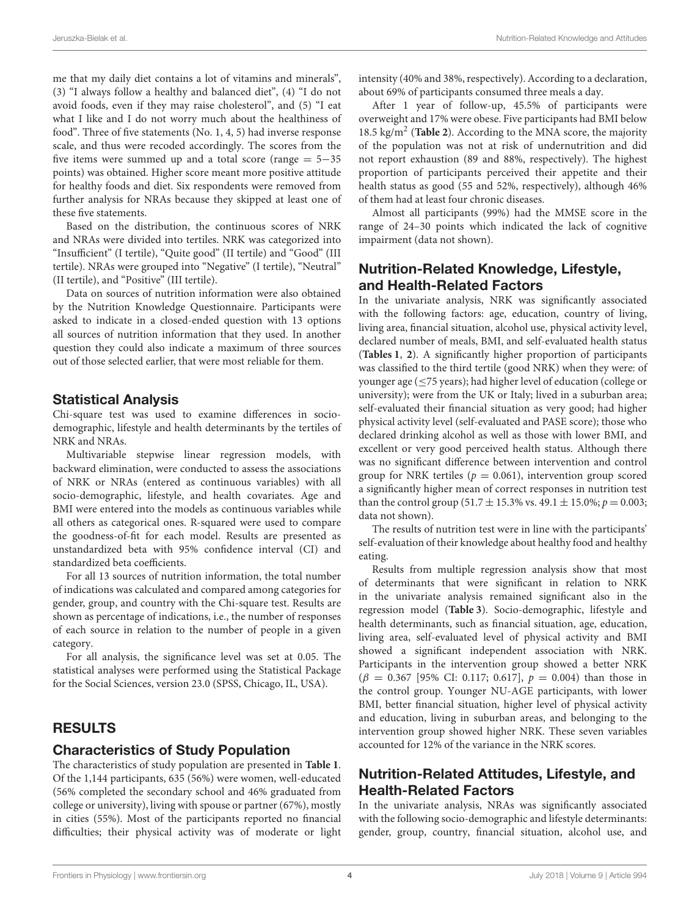me that my daily diet contains a lot of vitamins and minerals", (3) "I always follow a healthy and balanced diet", (4) "I do not avoid foods, even if they may raise cholesterol", and (5) "I eat what I like and I do not worry much about the healthiness of food". Three of five statements (No. 1, 4, 5) had inverse response scale, and thus were recoded accordingly. The scores from the five items were summed up and a total score (range = 5−35 points) was obtained. Higher score meant more positive attitude for healthy foods and diet. Six respondents were removed from further analysis for NRAs because they skipped at least one of these five statements.

Based on the distribution, the continuous scores of NRK and NRAs were divided into tertiles. NRK was categorized into "Insufficient" (I tertile), "Quite good" (II tertile) and "Good" (III tertile). NRAs were grouped into "Negative" (I tertile), "Neutral" (II tertile), and "Positive" (III tertile).

Data on sources of nutrition information were also obtained by the Nutrition Knowledge Questionnaire. Participants were asked to indicate in a closed-ended question with 13 options all sources of nutrition information that they used. In another question they could also indicate a maximum of three sources out of those selected earlier, that were most reliable for them.

#### Statistical Analysis

Chi-square test was used to examine differences in sociodemographic, lifestyle and health determinants by the tertiles of NRK and NRAs.

Multivariable stepwise linear regression models, with backward elimination, were conducted to assess the associations of NRK or NRAs (entered as continuous variables) with all socio-demographic, lifestyle, and health covariates. Age and BMI were entered into the models as continuous variables while all others as categorical ones. R-squared were used to compare the goodness-of-fit for each model. Results are presented as unstandardized beta with 95% confidence interval (CI) and standardized beta coefficients.

For all 13 sources of nutrition information, the total number of indications was calculated and compared among categories for gender, group, and country with the Chi-square test. Results are shown as percentage of indications, i.e., the number of responses of each source in relation to the number of people in a given category.

For all analysis, the significance level was set at 0.05. The statistical analyses were performed using the Statistical Package for the Social Sciences, version 23.0 (SPSS, Chicago, IL, USA).

### RESULTS

#### Characteristics of Study Population

The characteristics of study population are presented in **[Table 1](#page-4-0)**. Of the 1,144 participants, 635 (56%) were women, well-educated (56% completed the secondary school and 46% graduated from college or university), living with spouse or partner (67%), mostly in cities (55%). Most of the participants reported no financial difficulties; their physical activity was of moderate or light intensity (40% and 38%, respectively). According to a declaration, about 69% of participants consumed three meals a day.

After 1 year of follow-up, 45.5% of participants were overweight and 17% were obese. Five participants had BMI below 18.5 kg/m<sup>2</sup> (**[Table 2](#page-6-0)**). According to the MNA score, the majority of the population was not at risk of undernutrition and did not report exhaustion (89 and 88%, respectively). The highest proportion of participants perceived their appetite and their health status as good (55 and 52%, respectively), although 46% of them had at least four chronic diseases.

Almost all participants (99%) had the MMSE score in the range of 24–30 points which indicated the lack of cognitive impairment (data not shown).

# Nutrition-Related Knowledge, Lifestyle, and Health-Related Factors

In the univariate analysis, NRK was significantly associated with the following factors: age, education, country of living, living area, financial situation, alcohol use, physical activity level, declared number of meals, BMI, and self-evaluated health status (**[Tables 1](#page-4-0)**, **[2](#page-6-0)**). A significantly higher proportion of participants was classified to the third tertile (good NRK) when they were: of younger age ( $\leq$ 75 years); had higher level of education (college or university); were from the UK or Italy; lived in a suburban area; self-evaluated their financial situation as very good; had higher physical activity level (self-evaluated and PASE score); those who declared drinking alcohol as well as those with lower BMI, and excellent or very good perceived health status. Although there was no significant difference between intervention and control group for NRK tertiles ( $p = 0.061$ ), intervention group scored a significantly higher mean of correct responses in nutrition test than the control group (51.7  $\pm$  15.3% vs. 49.1  $\pm$  15.0%;  $p = 0.003$ ; data not shown).

The results of nutrition test were in line with the participants' self-evaluation of their knowledge about healthy food and healthy eating.

Results from multiple regression analysis show that most of determinants that were significant in relation to NRK in the univariate analysis remained significant also in the regression model (**[Table 3](#page-7-0)**). Socio-demographic, lifestyle and health determinants, such as financial situation, age, education, living area, self-evaluated level of physical activity and BMI showed a significant independent association with NRK. Participants in the intervention group showed a better NRK  $(\beta = 0.367$  [95% CI: 0.117; 0.617],  $p = 0.004$ ) than those in the control group. Younger NU-AGE participants, with lower BMI, better financial situation, higher level of physical activity and education, living in suburban areas, and belonging to the intervention group showed higher NRK. These seven variables accounted for 12% of the variance in the NRK scores.

# Nutrition-Related Attitudes, Lifestyle, and Health-Related Factors

In the univariate analysis, NRAs was significantly associated with the following socio-demographic and lifestyle determinants: gender, group, country, financial situation, alcohol use, and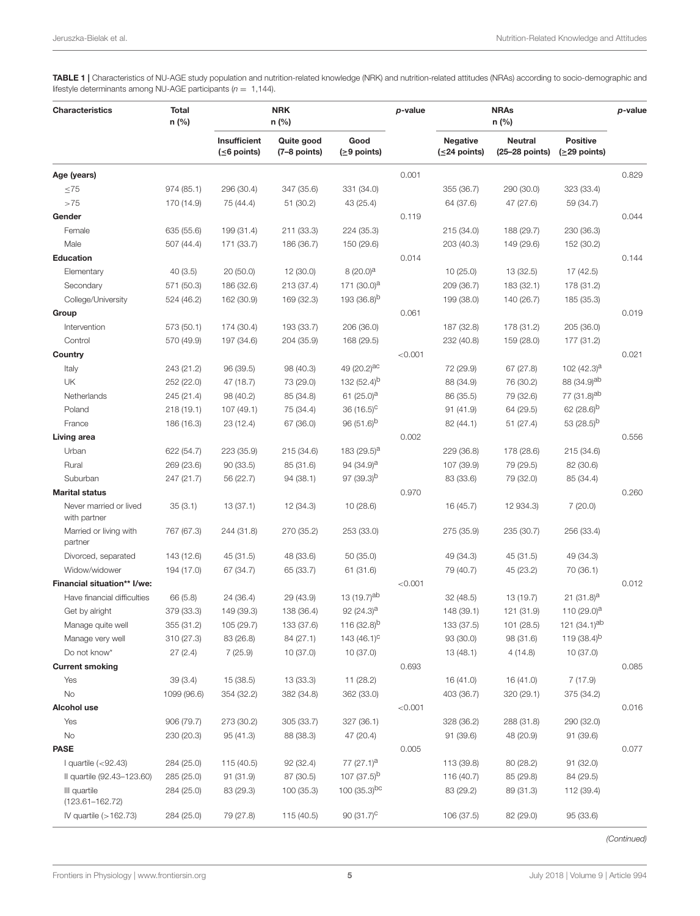<span id="page-4-0"></span>TABLE 1 | Characteristics of NU-AGE study population and nutrition-related knowledge (NRK) and nutrition-related attitudes (NRAs) according to socio-demographic and lifestyle determinants among NU-AGE participants ( $n = 1,144$ ).

| <b>Characteristics</b>                 | <b>Total</b><br>n (%) |                                    | <b>NRK</b><br>n (%)        |                         | p-value |                                        | p-value                          |                                   |       |
|----------------------------------------|-----------------------|------------------------------------|----------------------------|-------------------------|---------|----------------------------------------|----------------------------------|-----------------------------------|-------|
|                                        |                       | Insufficient<br>$( \leq 6$ points) | Quite good<br>(7–8 points) | Good<br>$(≥9$ points)   |         | <b>Negative</b><br>$( \leq 24$ points) | <b>Neutral</b><br>(25-28 points) | <b>Positive</b><br>$(≥29$ points) |       |
| Age (years)                            |                       |                                    |                            |                         | 0.001   |                                        |                                  |                                   | 0.829 |
| $\leq 75$                              | 974 (85.1)            | 296 (30.4)                         | 347 (35.6)                 | 331 (34.0)              |         | 355 (36.7)                             | 290 (30.0)                       | 323 (33.4)                        |       |
| >75                                    | 170 (14.9)            | 75 (44.4)                          | 51 (30.2)                  | 43 (25.4)               |         | 64 (37.6)                              | 47 (27.6)                        | 59 (34.7)                         |       |
| Gender                                 |                       |                                    |                            |                         | 0.119   |                                        |                                  |                                   | 0.044 |
| Female                                 | 635 (55.6)            | 199 (31.4)                         | 211 (33.3)                 | 224 (35.3)              |         | 215 (34.0)                             | 188 (29.7)                       | 230 (36.3)                        |       |
| Male                                   | 507 (44.4)            | 171 (33.7)                         | 186 (36.7)                 | 150 (29.6)              |         | 203 (40.3)                             | 149 (29.6)                       | 152 (30.2)                        |       |
| <b>Education</b>                       |                       |                                    |                            |                         | 0.014   |                                        |                                  |                                   | 0.144 |
| Elementary                             | 40(3.5)               | 20 (50.0)                          | 12 (30.0)                  | $8(20.0)^{a}$           |         | 10(25.0)                               | 13 (32.5)                        | 17 (42.5)                         |       |
| Secondary                              | 571 (50.3)            | 186 (32.6)                         | 213 (37.4)                 | 171 $(30.0)^a$          |         | 209 (36.7)                             | 183 (32.1)                       | 178 (31.2)                        |       |
| College/University                     | 524 (46.2)            | 162 (30.9)                         | 169 (32.3)                 | 193 (36.8) <sup>b</sup> |         | 199 (38.0)                             | 140 (26.7)                       | 185 (35.3)                        |       |
| Group                                  |                       |                                    |                            |                         | 0.061   |                                        |                                  |                                   | 0.019 |
| Intervention                           | 573 (50.1)            | 174 (30.4)                         | 193 (33.7)                 | 206 (36.0)              |         | 187 (32.8)                             | 178 (31.2)                       | 205 (36.0)                        |       |
| Control                                | 570 (49.9)            | 197 (34.6)                         | 204 (35.9)                 | 168 (29.5)              |         | 232 (40.8)                             | 159 (28.0)                       | 177 (31.2)                        |       |
| Country                                |                       |                                    |                            |                         | < 0.001 |                                        |                                  |                                   | 0.021 |
| Italy                                  | 243 (21.2)            | 96 (39.5)                          | 98 (40.3)                  | 49 (20.2) <sup>ac</sup> |         | 72 (29.9)                              | 67(27.8)                         | 102 $(42.3)^{a}$                  |       |
| UK                                     | 252 (22.0)            | 47 (18.7)                          | 73 (29.0)                  | 132 $(52.4)^{b}$        |         | 88 (34.9)                              | 76 (30.2)                        | 88 (34.9) <sup>ab</sup>           |       |
| Netherlands                            | 245 (21.4)            | 98 (40.2)                          | 85 (34.8)                  | 61 $(25.0)^a$           |         | 86 (35.5)                              | 79 (32.6)                        | 77 (31.8) <sup>ab</sup>           |       |
| Poland                                 | 218(19.1)             | 107 (49.1)                         | 75 (34.4)                  | $36(16.5)^{\circ}$      |         | 91 (41.9)                              | 64 (29.5)                        | 62 $(28.6)^{b}$                   |       |
| France                                 | 186 (16.3)            | 23 (12.4)                          | 67 (36.0)                  | $96(51.6)^b$            |         | 82 (44.1)                              | 51(27.4)                         | 53 (28.5) <sup>b</sup>            |       |
| Living area                            |                       |                                    |                            |                         | 0.002   |                                        |                                  |                                   | 0.556 |
| Urban                                  | 622 (54.7)            | 223 (35.9)                         | 215 (34.6)                 | 183 (29.5) <sup>a</sup> |         | 229 (36.8)                             | 178 (28.6)                       | 215 (34.6)                        |       |
| Rural                                  | 269 (23.6)            | 90(33.5)                           | 85 (31.6)                  | 94 $(34.9)^{a}$         |         | 107 (39.9)                             | 79 (29.5)                        | 82 (30.6)                         |       |
| Suburban                               | 247 (21.7)            | 56 (22.7)                          | 94 (38.1)                  | $97(39.3)^{D}$          |         | 83 (33.6)                              | 79 (32.0)                        | 85 (34.4)                         |       |
| <b>Marital status</b>                  |                       |                                    |                            |                         | 0.970   |                                        |                                  |                                   | 0.260 |
| Never married or lived<br>with partner | 35(3.1)               | 13 (37.1)                          | 12 (34.3)                  | 10(28.6)                |         | 16 (45.7)                              | 12 934.3)                        | 7(20.0)                           |       |
| Married or living with<br>partner      | 767 (67.3)            | 244 (31.8)                         | 270 (35.2)                 | 253 (33.0)              |         | 275 (35.9)                             | 235 (30.7)                       | 256 (33.4)                        |       |
| Divorced, separated                    | 143 (12.6)            | 45 (31.5)                          | 48 (33.6)                  | 50 (35.0)               |         | 49 (34.3)                              | 45 (31.5)                        | 49 (34.3)                         |       |
| Widow/widower                          | 194 (17.0)            | 67 (34.7)                          | 65 (33.7)                  | 61 (31.6)               |         | 79 (40.7)                              | 45 (23.2)                        | 70 (36.1)                         |       |
| Financial situation** I/we:            |                       |                                    |                            |                         | < 0.001 |                                        |                                  |                                   | 0.012 |
| Have financial difficulties            | 66 (5.8)              | 24 (36.4)                          | 29 (43.9)                  | 13 (19.7) <sup>ab</sup> |         | 32 (48.5)                              | 13 (19.7)                        | 21 (31.8) <sup>a</sup>            |       |
| Get by alright                         | 379 (33.3)            | 149 (39.3)                         | 138 (36.4)                 | 92 $(24.3)^{a}$         |         | 148 (39.1)                             | 121 (31.9)                       | 110 $(29.0)^{a}$                  |       |
| Manage quite well                      | 355 (31.2)            | 105 (29.7)                         | 133 (37.6)                 | 116 (32.8) <sup>b</sup> |         | 133 (37.5)                             | 101 (28.5)                       | 121 (34.1) <sup>ab</sup>          |       |
| Manage very well                       | 310(27.3)             | 83 (26.8)                          | 84 (27.1)                  | 143 $(46.1)^{C}$        |         | 93 (30.0)                              | 98 (31.6)                        | 119 $(38.4)^{b}$                  |       |
| Do not know*                           | 27(2.4)               | 7(25.9)                            | 10 (37.0)                  | 10 (37.0)               |         | 13 (48.1)                              | 4(14.8)                          | 10 (37.0)                         |       |
| <b>Current smoking</b>                 |                       |                                    |                            |                         | 0.693   |                                        |                                  |                                   | 0.085 |
| Yes                                    | 39(3.4)               | 15 (38.5)                          | 13 (33.3)                  | 11 (28.2)               |         | 16 (41.0)                              | 16 (41.0)                        | 7(17.9)                           |       |
| No                                     | 1099 (96.6)           | 354 (32.2)                         | 382 (34.8)                 | 362 (33.0)              |         | 403 (36.7)                             | 320 (29.1)                       | 375 (34.2)                        |       |
| Alcohol use                            |                       |                                    |                            |                         | < 0.001 |                                        |                                  |                                   | 0.016 |
| Yes                                    | 906 (79.7)            | 273 (30.2)                         | 305 (33.7)                 | 327 (36.1)              |         | 328 (36.2)                             | 288 (31.8)                       | 290 (32.0)                        |       |
| No                                     | 230 (20.3)            | 95 (41.3)                          | 88 (38.3)                  | 47 (20.4)               |         | 91 (39.6)                              | 48 (20.9)                        | 91 (39.6)                         |       |
| <b>PASE</b>                            |                       |                                    |                            |                         | 0.005   |                                        |                                  |                                   | 0.077 |
| I quartile $(< 92.43)$                 | 284 (25.0)            | 115 (40.5)                         | 92 (32.4)                  | $77(27.1)^a$            |         | 113 (39.8)                             | 80 (28.2)                        | 91 (32.0)                         |       |
| Il quartile (92.43-123.60)             | 285 (25.0)            | 91 (31.9)                          | 87 (30.5)                  | 107 (37.5) <sup>b</sup> |         | 116 (40.7)                             | 85 (29.8)                        | 84 (29.5)                         |       |
| III quartile<br>$(123.61 - 162.72)$    | 284 (25.0)            | 83 (29.3)                          | 100 (35.3)                 | 100 $(35.3)^{bc}$       |         | 83 (29.2)                              | 89 (31.3)                        | 112 (39.4)                        |       |
| IV quartile $(>162.73)$                | 284 (25.0)            | 79 (27.8)                          | 115 (40.5)                 | 90 $(31.7)^{c}$         |         | 106 (37.5)                             | 82 (29.0)                        | 95 (33.6)                         |       |

(Continued)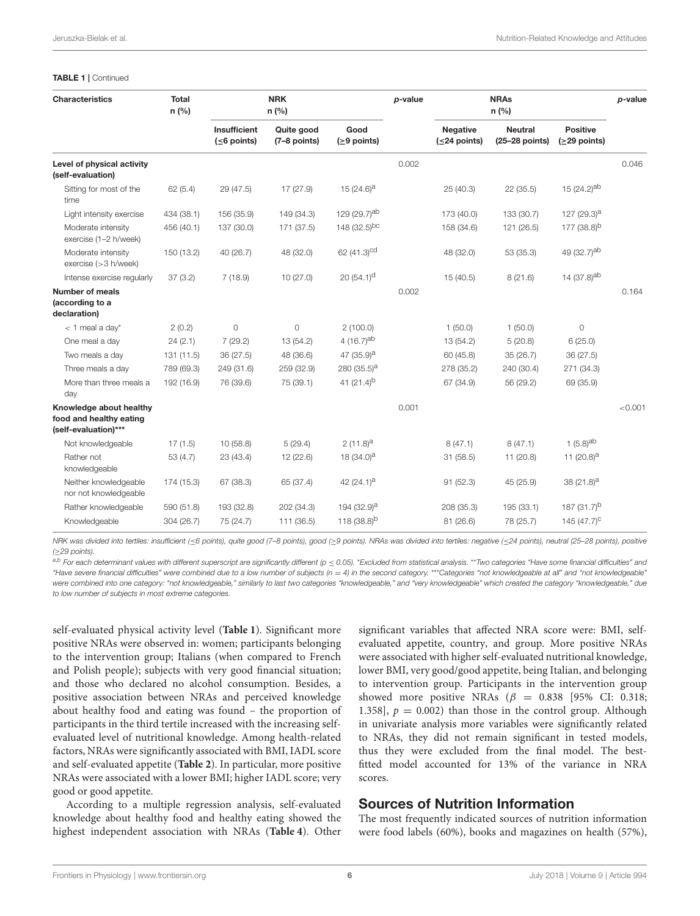#### TABLE 1 | Continued

| <b>Characteristics</b>                                                     | <b>Total</b><br>n (%) |                                    | <b>NRK</b><br>$n$ (%)      |                          | p-value |                                        | <b>NRAs</b><br>n(%)              |                                 | p-value |
|----------------------------------------------------------------------------|-----------------------|------------------------------------|----------------------------|--------------------------|---------|----------------------------------------|----------------------------------|---------------------------------|---------|
|                                                                            |                       | Insufficient<br>$( \leq 6$ points) | Quite good<br>(7-8 points) | Good<br>$(≥9$ points)    |         | <b>Negative</b><br>$( \leq 24$ points) | <b>Neutral</b><br>(25-28 points) | <b>Positive</b><br>(≥29 points) |         |
| Level of physical activity<br>(self-evaluation)                            |                       |                                    |                            |                          | 0.002   |                                        |                                  |                                 | 0.046   |
| Sitting for most of the<br>time                                            | 62(5.4)               | 29 (47.5)                          | 17 (27.9)                  | 15 $(24.6)^a$            |         | 25(40.3)                               | 22 (35.5)                        | 15 $(24.2)^{ab}$                |         |
| Light intensity exercise                                                   | 434 (38.1)            | 156 (35.9)                         | 149 (34.3)                 | 129 (29.7) <sup>ab</sup> |         | 173 (40.0)                             | 133 (30.7)                       | 127 (29.3) <sup>a</sup>         |         |
| Moderate intensity<br>exercise (1-2 h/week)                                | 456 (40.1)            | 137 (30.0)                         | 171 (37.5)                 | 148 (32.5)bc             |         | 158 (34.6)                             | 121 (26.5)                       | 177 (38.8) <sup>b</sup>         |         |
| Moderate intensity<br>exercise (> 3 h/week)                                | 150 (13.2)            | 40 (26.7)                          | 48 (32.0)                  | 62 $(41.3)^{cd}$         |         | 48 (32.0)                              | 53 (35.3)                        | 49 (32.7)ab                     |         |
| Intense exercise regularly                                                 | 37(3.2)               | 7(18.9)                            | 10(27.0)                   | 20 $(54.1)^d$            |         | 15(40.5)                               | 8(21.6)                          | 14 (37.8) <sup>ab</sup>         |         |
| <b>Number of meals</b><br>(according to a                                  |                       |                                    |                            |                          | 0.002   |                                        |                                  |                                 | 0.164   |
| declaration)                                                               |                       |                                    |                            |                          |         |                                        |                                  |                                 |         |
| $<$ 1 meal a day*                                                          | 2(0.2)                | $\mathbf 0$                        | $\circ$                    | 2(100.0)                 |         | 1(50.0)                                | 1(50.0)                          | $\circ$                         |         |
| One meal a day                                                             | 24(2.1)               | 7(29.2)                            | 13 (54.2)                  | 4 $(16.7)^{ab}$          |         | 13 (54.2)                              | 5(20.8)                          | 6(25.0)                         |         |
| Two meals a day                                                            | 131 (11.5)            | 36 (27.5)                          | 48 (36.6)                  | 47 $(35.9)^{a}$          |         | 60 (45.8)                              | 35(26.7)                         | 36(27.5)                        |         |
| Three meals a day                                                          | 789 (69.3)            | 249 (31.6)                         | 259 (32.9)                 | 280 $(35.5)^{a}$         |         | 278 (35.2)                             | 240 (30.4)                       | 271 (34.3)                      |         |
| More than three meals a<br>day                                             | 192 (16.9)            | 76 (39.6)                          | 75 (39.1)                  | 41 $(21.4)^{b}$          |         | 67 (34.9)                              | 56 (29.2)                        | 69 (35.9)                       |         |
| Knowledge about healthy<br>food and healthy eating<br>(self-evaluation)*** |                       |                                    |                            |                          | 0.001   |                                        |                                  |                                 | < 0.001 |
| Not knowledgeable                                                          | 17(1.5)               | 10(58.8)                           | 5(29.4)                    | $2(11.8)^a$              |         | 8(47.1)                                | 8(47.1)                          | 1 $(5.8)^{ab}$                  |         |
| Rather not<br>knowledgeable                                                | 53(4.7)               | 23 (43.4)                          | 12 (22.6)                  | 18 $(34.0)^a$            |         | 31(58.5)                               | 11 (20.8)                        | 11 $(20.8)^a$                   |         |
| Neither knowledgeable<br>nor not knowledgeable                             | 174 (15.3)            | 67 (38.3)                          | 65 (37.4)                  | 42 $(24.1)^a$            |         | 91(52.3)                               | 45 (25.9)                        | 38 (21.8) <sup>a</sup>          |         |
| Rather knowledgeable                                                       | 590 (51.8)            | 193 (32.8)                         | 202 (34.3)                 | 194 (32.9) <sup>a</sup>  |         | 208 (35.3)                             | 195 (33.1)                       | 187 $(31.7)^b$                  |         |
| Knowledgeable                                                              | 304 (26.7)            | 75 (24.7)                          | 111 (36.5)                 | 118 $(38.8)^{b}$         |         | 81 (26.6)                              | 78 (25.7)                        | 145 $(47.7)^{C}$                |         |

NRK was divided into tertiles: insufficient (≤6 points), quite good (7-8 points), good (≥9 points). NRAs was divided into tertiles: negative (≤24 points), neutral (25-28 points), positive (≥29 points).

a,b For each determinant values with different superscript are significantly different (p < 0.05). \*Excluded from statistical analysis. \*\*Two categories "Have some financial difficulties" and "Have severe financial difficulties" were combined due to a low number of subjects (n = 4) in the second category. \*\*\*Categories "not knowledgeable at all" and "not knowledgeable" were combined into one category: "not knowledgeable," similarly to last two categories "knowledgeable," and "very knowledgeable" which created the category "knowledgeable," due to low number of subjects in most extreme categories.

self-evaluated physical activity level (**[Table 1](#page-4-0)**). Significant more positive NRAs were observed in: women; participants belonging to the intervention group; Italians (when compared to French and Polish people); subjects with very good financial situation; and those who declared no alcohol consumption. Besides, a positive association between NRAs and perceived knowledge about healthy food and eating was found – the proportion of participants in the third tertile increased with the increasing selfevaluated level of nutritional knowledge. Among health-related factors, NRAs were significantly associated with BMI, IADL score and self-evaluated appetite (**[Table 2](#page-6-0)**). In particular, more positive NRAs were associated with a lower BMI; higher IADL score; very good or good appetite.

According to a multiple regression analysis, self-evaluated knowledge about healthy food and healthy eating showed the highest independent association with NRAs (**[Table 4](#page-7-1)**). Other significant variables that affected NRA score were: BMI, selfevaluated appetite, country, and group. More positive NRAs were associated with higher self-evaluated nutritional knowledge, lower BMI, very good/good appetite, being Italian, and belonging to intervention group. Participants in the intervention group showed more positive NRAs ( $\beta$  = 0.838 [95% CI: 0.318; 1.358],  $p = 0.002$  than those in the control group. Although in univariate analysis more variables were significantly related to NRAs, they did not remain significant in tested models, thus they were excluded from the final model. The bestfitted model accounted for 13% of the variance in NRA scores.

### Sources of Nutrition Information

The most frequently indicated sources of nutrition information were food labels (60%), books and magazines on health (57%),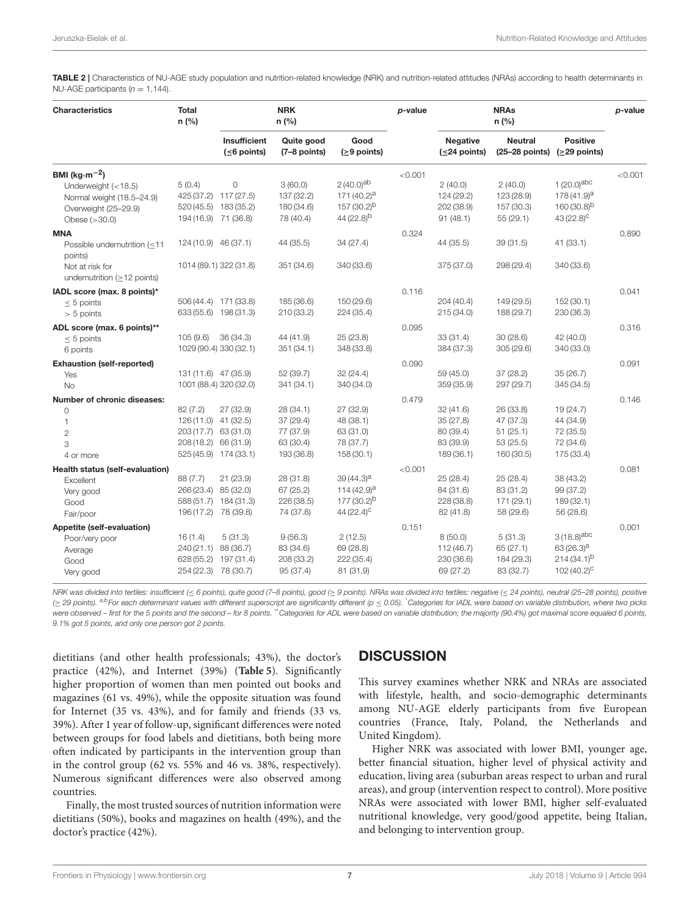<span id="page-6-0"></span>TABLE 2 | Characteristics of NU-AGE study population and nutrition-related knowledge (NRK) and nutrition-related attitudes (NRAs) according to health determinants in NU-AGE participants ( $n = 1,144$ ).

| <b>Characteristics</b>                                                                                          | <b>Total</b><br>n(%)                                                             |                                                   | <b>NRK</b><br>n(%)                                             |                                                                                                | p-value |                                                              | $p$ -value                                                    |                                                                            |         |
|-----------------------------------------------------------------------------------------------------------------|----------------------------------------------------------------------------------|---------------------------------------------------|----------------------------------------------------------------|------------------------------------------------------------------------------------------------|---------|--------------------------------------------------------------|---------------------------------------------------------------|----------------------------------------------------------------------------|---------|
|                                                                                                                 |                                                                                  | Insufficient<br>$( \leq 6$ points)                | Quite good<br>(7-8 points)                                     | Good<br>$( \geq 9$ points)                                                                     |         | <b>Negative</b><br>$( \leq 24$ points)                       | <b>Neutral</b><br>$(25-28$ points)                            | <b>Positive</b><br>$(≥29$ points)                                          |         |
| BMI ( $kg·m-2$ )<br>Underweight (<18.5)<br>Normal weight (18.5-24.9)<br>Overweight (25-29.9)<br>Obese $(>30.0)$ | 5(0.4)<br>425 (37.2) 117 (27.5)<br>194 (16.9)                                    | 0<br>520 (45.5) 183 (35.2)<br>71 (36.8)           | 3(60.0)<br>137 (32.2)<br>180 (34.6)<br>78 (40.4)               | $2(40.0)$ <sup>ab</sup><br>171 $(40.2)^a$<br>$157(30.2)^{b}$<br>44 $(22.8)^{b}$                | < 0.001 | 2(40.0)<br>124 (29.2)<br>202 (38.9)<br>91(48.1)              | 2(40.0)<br>123 (28.9)<br>157 (30.3)<br>55 (29.1)              | 1 $(20.0)^{abc}$<br>$178(41.9)^a$<br>$160(30.8)^{b}$<br>$43(22.8)^{C}$     | < 0.001 |
| <b>MNA</b><br>Possible undernutrition (<11<br>points)<br>Not at risk for<br>undernutrition ( $\geq$ 12 points)  | 124 (10.9) 46 (37.1)                                                             | 1014 (89.1) 322 (31.8)                            | 44 (35.5)<br>351 (34.6)                                        | 34 (27.4)<br>340 (33.6)                                                                        | 0.324   | 44 (35.5)<br>375 (37.0)                                      | 39 (31.5)<br>298 (29.4)                                       | 41 (33.1)<br>340 (33.6)                                                    | 0.890   |
| IADL score (max. 8 points)*<br>$\leq 5$ points<br>$> 5$ points                                                  | 633 (55.6) 198 (31.3)                                                            | 506 (44.4) 171 (33.8)                             | 185 (36.6)<br>210 (33.2)                                       | 150 (29.6)<br>224 (35.4)                                                                       | 0.116   | 204(40.4)<br>215(34.0)                                       | 149 (29.5)<br>188 (29.7)                                      | 152(30.1)<br>230 (36.3)                                                    | 0.041   |
| ADL score (max. 6 points)**<br>$< 5$ points<br>6 points                                                         | 105(9.6)<br>1029 (90.4) 330 (32.1)                                               | 36 (34.3)                                         | 44 (41.9)<br>351 (34.1)                                        | 25 (23.8)<br>348 (33.8)                                                                        | 0.095   | 33(31.4)<br>384 (37.3)                                       | 30 (28.6)<br>305(29.6)                                        | 42 (40.0)<br>340 (33.0)                                                    | 0.316   |
| <b>Exhaustion (self-reported)</b><br>Yes<br><b>No</b>                                                           | 131 (11.6) 47 (35.9)<br>1001 (88.4) 320 (32.0)                                   |                                                   | 52 (39.7)<br>341 (34.1)                                        | 32 (24.4)<br>340 (34.0)                                                                        | 0.090   | 59 (45.0)<br>359 (35.9)                                      | 37 (28.2)<br>297 (29.7)                                       | 35 (26.7)<br>345 (34.5)                                                    | 0.091   |
| <b>Number of chronic diseases:</b><br>0<br>1<br>$\mathbf{2}$<br>3<br>4 or more                                  | 82(7.2)<br>126 (11.0) 41 (32.5)<br>203 (17.7) 63 (31.0)<br>208 (18.2) 66 (31.9)  | 27 (32.9)<br>525 (45.9) 174 (33.1)                | 28 (34.1)<br>37 (29.4)<br>77 (37.9)<br>63 (30.4)<br>193 (36.8) | 27 (32.9)<br>48 (38.1)<br>63 (31.0)<br>78 (37.7)<br>158(30.1)                                  | 0.479   | 32(41.6)<br>35(27.8)<br>80 (39.4)<br>83 (39.9)<br>189 (36.1) | 26 (33.8)<br>47 (37.3)<br>51(25.1)<br>53 (25.5)<br>160 (30.5) | 19 (24.7)<br>44 (34.9)<br>72 (35.5)<br>72 (34.6)<br>175 (33.4)             | 0.146   |
| Health status (self-evaluation)<br>Excellent<br>Very good<br>Good<br>Fair/poor                                  | 88 (7.7)<br>266 (23.4)<br>588 (51.7)<br>196 (17.2)                               | 21 (23.9)<br>85 (32.0)<br>184 (31.3)<br>78 (39.8) | 28 (31.8)<br>67 (25.2)<br>226 (38.5)<br>74 (37.8)              | $39(44.3)^a$<br>114 $(42.9)$ <sup>a</sup><br>177 (30.2) <sup>b</sup><br>44 (22.4) <sup>c</sup> | < 0.001 | 25(28.4)<br>84 (31.6)<br>228 (38.8)<br>82 (41.8)             | 25 (28.4)<br>83 (31.2)<br>171 (29.1)<br>58 (29.6)             | 38 (43.2)<br>99 (37.2)<br>189 (32.1)<br>56 (28.6)                          | 0.081   |
| Appetite (self-evaluation)<br>Poor/very poor<br>Average<br>Good<br>Very good                                    | 16(1.4)<br>240 (21.1) 88 (36.7)<br>628 (55.2) 197 (31.4)<br>254 (22.3) 78 (30.7) | 5(31.3)                                           | 9(56.3)<br>83 (34.6)<br>208 (33.2)<br>95 (37.4)                | 2(12.5)<br>69 (28.8)<br>222 (35.4)<br>81 (31.9)                                                | 0.151   | 8(50.0)<br>112 (46.7)<br>230 (36.6)<br>69 (27.2)             | 5(31.3)<br>65 (27.1)<br>184 (29.3)<br>83 (32.7)               | $3(18.8)^{abc}$<br>$63(26.3)^a$<br>$214(34.1)^{b}$<br>102 $(40.2)^{\circ}$ | 0.001   |

NRK was divided into tertiles: insufficient (≤ 6 points), quite good (7-8 points), good (≥ 9 points). NRAs was divided into tertiles: negative (≤ 24 points), neutral (25-28 points), positive (> 29 points). a,bFor each determinant values with different superscript are significantly different (p < 0.05). \*Categories for IADL were based on variable distribution, where two picks were observed – first for the 5 points and the second – for 8 points. "Categories for ADL were based on variable distribution; the majority (90.4%) got maximal score equaled 6 points, 9.1% got 5 points, and only one person got 2 points.

dietitians (and other health professionals; 43%), the doctor's practice (42%), and Internet (39%) (**[Table 5](#page-8-0)**). Significantly higher proportion of women than men pointed out books and magazines (61 vs. 49%), while the opposite situation was found for Internet (35 vs. 43%), and for family and friends (33 vs. 39%). After 1 year of follow-up, significant differences were noted between groups for food labels and dietitians, both being more often indicated by participants in the intervention group than in the control group (62 vs. 55% and 46 vs. 38%, respectively). Numerous significant differences were also observed among countries.

Finally, the most trusted sources of nutrition information were dietitians (50%), books and magazines on health (49%), and the doctor's practice (42%).

### **DISCUSSION**

This survey examines whether NRK and NRAs are associated with lifestyle, health, and socio-demographic determinants among NU-AGE elderly participants from five European countries (France, Italy, Poland, the Netherlands and United Kingdom).

Higher NRK was associated with lower BMI, younger age, better financial situation, higher level of physical activity and education, living area (suburban areas respect to urban and rural areas), and group (intervention respect to control). More positive NRAs were associated with lower BMI, higher self-evaluated nutritional knowledge, very good/good appetite, being Italian, and belonging to intervention group.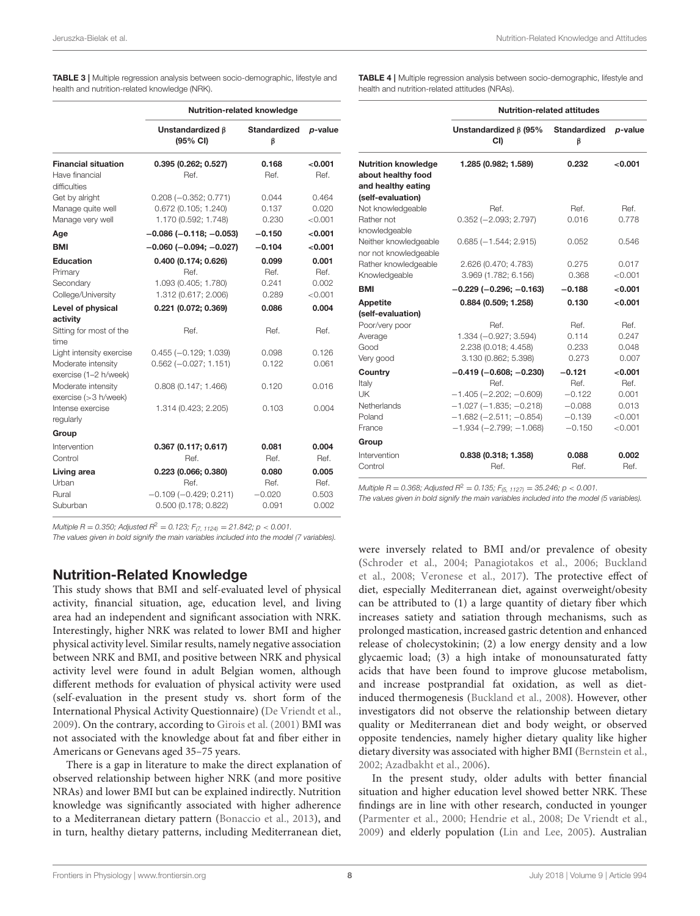<span id="page-7-0"></span>TABLE 3 | Multiple regression analysis between socio-demographic, lifestyle and health and nutrition-related knowledge (NRK).

|                                                                         |                                                                                | Nutrition-related knowledge        |                                   |
|-------------------------------------------------------------------------|--------------------------------------------------------------------------------|------------------------------------|-----------------------------------|
|                                                                         | Unstandardized <b>6</b><br>(95% CI)                                            | <b>Standardized</b><br>β           | p-value                           |
| <b>Financial situation</b><br>Have financial<br>difficulties            | 0.395(0.262; 0.527)<br>Ref.                                                    | 0.168<br>Ref.                      | < 0.001<br>Ref.                   |
| Get by alright<br>Manage quite well<br>Manage very well                 | $0.208 (-0.352; 0.771)$<br>0.672 (0.105; 1.240)<br>1.170 (0.592; 1.748)        | 0.044<br>0.137<br>0.230            | 0.464<br>0.020<br>< 0.001         |
| Age                                                                     | $-0.086$ ( $-0.118$ ; $-0.053$ )                                               | $-0.150$                           | < 0.001                           |
| <b>BMI</b>                                                              | $-0.060$ ( $-0.094$ ; $-0.027$ )                                               | $-0.104$                           | 0.001                             |
| Education<br>Primary<br>Secondary<br>College/University                 | 0.400 (0.174; 0.626)<br>Ref.<br>1.093 (0.405; 1.780)<br>1.312 (0.617; 2.006)   | 0.099<br>Ref.<br>0.241<br>0.289    | 0.001<br>Ref.<br>0.002<br>< 0.001 |
| Level of physical                                                       | 0.221 (0.072; 0.369)                                                           | 0.086                              | 0.004                             |
| activity<br>Sitting for most of the<br>time                             | Ref.                                                                           | Ref.                               | Ref.                              |
| Light intensity exercise<br>Moderate intensity<br>exercise (1-2 h/week) | $0.455 (-0.129; 1.039)$<br>$0.562 (-0.027; 1.151)$                             | 0.098<br>0.122                     | 0.126<br>0.061                    |
| Moderate intensity<br>exercise $(>3 h/$ week)                           | 0.808(0.147; 1.466)                                                            | 0.120                              | 0.016                             |
| Intense exercise<br>regularly                                           | 1.314 (0.423; 2.205)                                                           | 0.103                              | 0.004                             |
| Group                                                                   |                                                                                |                                    |                                   |
| Intervention<br>Control                                                 | 0.367 (0.117; 0.617)<br>Ref.                                                   | 0.081<br>Ref.                      | 0.004<br>Ref.                     |
| Living area<br>Urban<br>Rural<br>Suburban                               | 0.223 (0.066; 0.380)<br>Ref<br>$-0.109(-0.429; 0.211)$<br>0.500 (0.178; 0.822) | 0.080<br>Ref.<br>$-0.020$<br>0.091 | 0.005<br>Ref.<br>0.503<br>0.002   |

Multiple R = 0.350; Adjusted R<sup>2</sup> = 0.123;  $F_{(7, 1124)} = 21.842$ ; p < 0.001.

The values given in bold signify the main variables included into the model (7 variables).

### Nutrition-Related Knowledge

This study shows that BMI and self-evaluated level of physical activity, financial situation, age, education level, and living area had an independent and significant association with NRK. Interestingly, higher NRK was related to lower BMI and higher physical activity level. Similar results, namely negative association between NRK and BMI, and positive between NRK and physical activity level were found in adult Belgian women, although different methods for evaluation of physical activity were used (self-evaluation in the present study vs. short form of the International Physical Activity Questionnaire) [\(De Vriendt et al.,](#page-11-9) [2009\)](#page-11-9). On the contrary, according to [Girois et al. \(2001\)](#page-11-29) BMI was not associated with the knowledge about fat and fiber either in Americans or Genevans aged 35–75 years.

There is a gap in literature to make the direct explanation of observed relationship between higher NRK (and more positive NRAs) and lower BMI but can be explained indirectly. Nutrition knowledge was significantly associated with higher adherence to a Mediterranean dietary pattern [\(Bonaccio et al., 2013\)](#page-11-30), and in turn, healthy dietary patterns, including Mediterranean diet,

<span id="page-7-1"></span>TABLE 4 | Multiple regression analysis between socio-demographic, lifestyle and health and nutrition-related attitudes (NRAs).

|                                                                                             |                                                                                                                                                                   | <b>Nutrition-related attitudes</b>                               |                                                         |
|---------------------------------------------------------------------------------------------|-------------------------------------------------------------------------------------------------------------------------------------------------------------------|------------------------------------------------------------------|---------------------------------------------------------|
|                                                                                             | Unstandardized $\beta$ (95%<br>CI)                                                                                                                                | <b>Standardized</b><br>β                                         | p-value                                                 |
| <b>Nutrition knowledge</b><br>about healthy food<br>and healthy eating<br>(self-evaluation) | 1.285 (0.982; 1.589)                                                                                                                                              | 0.232                                                            | <0.001                                                  |
| Not knowledgeable<br>Rather not                                                             | Ref.<br>$0.352 (-2.093; 2.797)$                                                                                                                                   | Ref.<br>0.016                                                    | Ref.<br>0.778                                           |
| knowledgeable<br>Neither knowledgeable<br>nor not knowledgeable                             | $0.685 (-1.544; 2.915)$                                                                                                                                           | 0.052                                                            | 0.546                                                   |
| Rather knowledgeable<br>Knowledgeable                                                       | 2.626 (0.470; 4.783)<br>3.969 (1.782; 6.156)                                                                                                                      | 0.275<br>0.368                                                   | 0.017<br>< 0.001                                        |
| <b>BMI</b>                                                                                  | $-0.229(-0.296;-0.163)$                                                                                                                                           | $-0.188$                                                         | < 0.001                                                 |
| Appetite<br>(self-evaluation)<br>Poor/very poor<br>Average<br>Good                          | 0.884 (0.509; 1.258)<br>Ref.<br>1.334 (-0.927; 3.594)<br>2.238 (0.018; 4.458)                                                                                     | 0.130<br>Ref.<br>0.114<br>0.233                                  | <0.001<br>Ref.<br>0.247<br>0.048                        |
| Very good                                                                                   | 3.130 (0.862; 5.398)                                                                                                                                              | 0.273                                                            | 0.007                                                   |
| Country<br>Italy<br>UK<br>Netherlands<br>Poland<br>France                                   | $-0.419(-0.608;-0.230)$<br>Ref.<br>$-1.405 (-2.202; -0.609)$<br>$-1.027$ ( $-1.835$ ; $-0.218$ )<br>$-1.682$ ( $-2.511$ ; $-0.854$ )<br>$-1.934 (-2.799; -1.068)$ | $-0.121$<br>Ref.<br>$-0.122$<br>$-0.088$<br>$-0.139$<br>$-0.150$ | < 0.001<br>Ref.<br>0.001<br>0.013<br>< 0.001<br>< 0.001 |
| Group                                                                                       |                                                                                                                                                                   |                                                                  |                                                         |
| Intervention<br>Control                                                                     | 0.838 (0.318; 1.358)<br>Ref.                                                                                                                                      | 0.088<br>Ref                                                     | 0.002<br>Ref                                            |

Multiple R = 0.368; Adjusted  $R^2 = 0.135$ ;  $F_{(5, 1127)} = 35.246$ ;  $p < 0.001$ .

The values given in bold signify the main variables included into the model (5 variables).

were inversely related to BMI and/or prevalence of obesity [\(Schroder et al., 2004;](#page-11-31) [Panagiotakos et al., 2006;](#page-11-32) Buckland et al., [2008;](#page-11-33) [Veronese et al., 2017\)](#page-12-3). The protective effect of diet, especially Mediterranean diet, against overweight/obesity can be attributed to (1) a large quantity of dietary fiber which increases satiety and satiation through mechanisms, such as prolonged mastication, increased gastric detention and enhanced release of cholecystokinin; (2) a low energy density and a low glycaemic load; (3) a high intake of monounsaturated fatty acids that have been found to improve glucose metabolism, and increase postprandial fat oxidation, as well as dietinduced thermogenesis [\(Buckland et al., 2008\)](#page-11-33). However, other investigators did not observe the relationship between dietary quality or Mediterranean diet and body weight, or observed opposite tendencies, namely higher dietary quality like higher dietary diversity was associated with higher BMI [\(Bernstein et al.,](#page-11-34) [2002;](#page-11-34) [Azadbakht et al., 2006\)](#page-10-3).

In the present study, older adults with better financial situation and higher education level showed better NRK. These findings are in line with other research, conducted in younger [\(Parmenter et al., 2000;](#page-11-13) [Hendrie et al., 2008;](#page-11-14) [De Vriendt et al.,](#page-11-9) [2009\)](#page-11-9) and elderly population [\(Lin and Lee, 2005\)](#page-11-7). Australian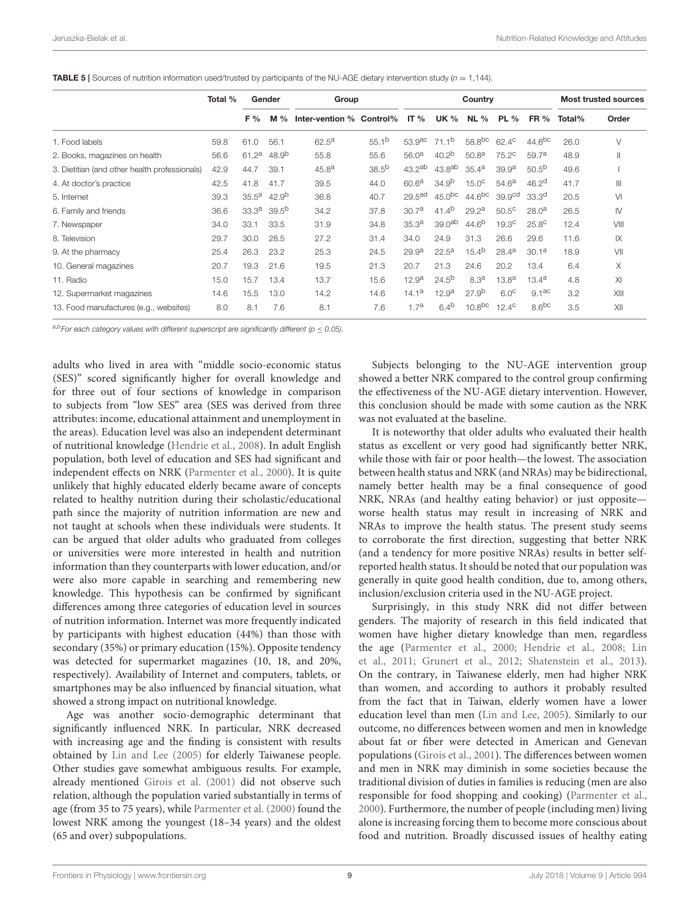<span id="page-8-0"></span>**TABLE 5** | Sources of nutrition information used/trusted by participants of the NU-AGE dietary intervention study ( $n = 1,144$ ).

|                                               | Total % |                   | Gender<br>Group<br>Country |                          |                   |                      |                    | <b>Most trusted sources</b> |                    |                    |        |               |
|-----------------------------------------------|---------|-------------------|----------------------------|--------------------------|-------------------|----------------------|--------------------|-----------------------------|--------------------|--------------------|--------|---------------|
|                                               |         | F %               | M%                         | Inter-vention % Control% |                   | IT $%$               | <b>UK %</b>        | NL%                         | <b>PL</b> %        | <b>FR</b> %        | Total% | Order         |
| 1. Food labels                                | 59.8    | 61.0              | 56.1                       | $62.5^{\text{a}}$        | 55.1 <sup>b</sup> | $53.9$ <sup>ac</sup> | 71.1 <sup>b</sup>  | 58.8 <sup>bc</sup>          | $62.4^{\circ}$     | 44.6 <sup>bc</sup> | 26.0   | ٧             |
| 2. Books, magazines on health                 | 56.6    | 61.2 <sup>a</sup> | 48.9 <sup>b</sup>          | 55.8                     | 55.6              | 56.0 <sup>a</sup>    | 40.2 <sup>b</sup>  | 50.8 <sup>a</sup>           | 75.2 <sup>c</sup>  | 59.7a              | 48.9   | $\mathsf{II}$ |
| 3. Dietitian (and other health professionals) | 42.9    | 44.7              | 39.1                       | 45.8 <sup>a</sup>        | $38.5^{b}$        | $43.2^{ab}$          | 43.8 <sup>ab</sup> | $35.4^{\rm a}$              | 39.9 <sup>a</sup>  | $50.5^{b}$         | 49.6   |               |
| 4. At doctor's practice                       | 42.5    | 41.8              | 41.7                       | 39.5                     | 44.0              | 60.6 <sup>a</sup>    | 34.9 <sup>b</sup>  | 15.0 <sup>c</sup>           | 54.6 <sup>a</sup>  | 46.2 <sup>d</sup>  | 41.7   | Ш             |
| 5. Internet                                   | 39.3    | 35.5 <sup>a</sup> | $42.9^{b}$                 | 36.8                     | 40.7              | 29.5 <sup>ad</sup>   | 45.0 <sup>bc</sup> | 44.6 <sup>bc</sup>          | 39.9 <sup>cd</sup> | 33.3 <sup>d</sup>  | 20.5   | VI            |
| 6. Family and friends                         | 36.6    | 33.3 <sup>a</sup> | 39.5 <sup>b</sup>          | 34.2                     | 37.8              | 30.7 <sup>a</sup>    | 41.4 <sup>b</sup>  | 29.2 <sup>a</sup>           | 50.5 <sup>c</sup>  | 28.0 <sup>a</sup>  | 26.5   | $\mathsf{IV}$ |
| 7. Newspaper                                  | 34.0    | 33.1              | 33.5                       | 31.9                     | 34.8              | 35.3 <sup>a</sup>    | 39.0 <sup>ab</sup> | $44.6^{b}$                  | 19.3 <sup>c</sup>  | 25.8 <sup>c</sup>  | 12.4   | VIII          |
| 8. Television                                 | 29.7    | 30.0              | 28.5                       | 27.2                     | 31.4              | 34.0                 | 24.9               | 31.3                        | 26.6               | 29.6               | 11.6   | IX            |
| 9. At the pharmacy                            | 25.4    | 26.3              | 23.2                       | 25.3                     | 24.5              | 29.9 <sup>a</sup>    | $22.5^{\text{a}}$  | 15.4 <sup>b</sup>           | $28.4^a$           | 30.1 <sup>a</sup>  | 18.9   | VII           |
| 10. General magazines                         | 20.7    | 19.3              | 21.6                       | 19.5                     | 21.3              | 20.7                 | 21.3               | 24.6                        | 20.2               | 13.4               | 6.4    | Χ             |
| 11. Radio                                     | 15.0    | 15.7              | 13.4                       | 13.7                     | 15.6              | 12.9 <sup>a</sup>    | $24.5^{b}$         | 8.3 <sup>a</sup>            | $13.8^{a}$         | $13.4^{a}$         | 4.8    | XI            |
| 12. Supermarket magazines                     | 14.6    | 15.5              | 13.0                       | 14.2                     | 14.6              | 14.1a                | 12.9 <sup>a</sup>  | 27.9 <sup>b</sup>           | 6.0 <sup>c</sup>   | 9.1ac              | 3.2    | XIII          |
| 13. Food manufactures (e.g., websites)        | 8.0     | 8.1               | 7.6                        | 8.1                      | 7.6               | 1.7 <sup>a</sup>     | $6.4^{b}$          | 10.8 <sup>bc</sup>          | $12.4^\circ$       | 8.6 <sup>bc</sup>  | 3.5    | XII           |

a,bFor each category values with different superscript are significantly different ( $p \le 0.05$ ).

adults who lived in area with "middle socio-economic status (SES)" scored significantly higher for overall knowledge and for three out of four sections of knowledge in comparison to subjects from "low SES" area (SES was derived from three attributes: income, educational attainment and unemployment in the areas). Education level was also an independent determinant of nutritional knowledge [\(Hendrie et al., 2008\)](#page-11-14). In adult English population, both level of education and SES had significant and independent effects on NRK [\(Parmenter et al., 2000\)](#page-11-13). It is quite unlikely that highly educated elderly became aware of concepts related to healthy nutrition during their scholastic/educational path since the majority of nutrition information are new and not taught at schools when these individuals were students. It can be argued that older adults who graduated from colleges or universities were more interested in health and nutrition information than they counterparts with lower education, and/or were also more capable in searching and remembering new knowledge. This hypothesis can be confirmed by significant differences among three categories of education level in sources of nutrition information. Internet was more frequently indicated by participants with highest education (44%) than those with secondary (35%) or primary education (15%). Opposite tendency was detected for supermarket magazines (10, 18, and 20%, respectively). Availability of Internet and computers, tablets, or smartphones may be also influenced by financial situation, what showed a strong impact on nutritional knowledge.

Age was another socio-demographic determinant that significantly influenced NRK. In particular, NRK decreased with increasing age and the finding is consistent with results obtained by [Lin and Lee \(2005\)](#page-11-7) for elderly Taiwanese people. Other studies gave somewhat ambiguous results. For example, already mentioned [Girois et al. \(2001\)](#page-11-29) did not observe such relation, although the population varied substantially in terms of age (from 35 to 75 years), while [Parmenter et al. \(2000\)](#page-11-13) found the lowest NRK among the youngest (18–34 years) and the oldest (65 and over) subpopulations.

Subjects belonging to the NU-AGE intervention group showed a better NRK compared to the control group confirming the effectiveness of the NU-AGE dietary intervention. However, this conclusion should be made with some caution as the NRK was not evaluated at the baseline.

It is noteworthy that older adults who evaluated their health status as excellent or very good had significantly better NRK, while those with fair or poor health—the lowest. The association between health status and NRK (and NRAs) may be bidirectional, namely better health may be a final consequence of good NRK, NRAs (and healthy eating behavior) or just opposite worse health status may result in increasing of NRK and NRAs to improve the health status. The present study seems to corroborate the first direction, suggesting that better NRK (and a tendency for more positive NRAs) results in better selfreported health status. It should be noted that our population was generally in quite good health condition, due to, among others, inclusion/exclusion criteria used in the NU-AGE project.

Surprisingly, in this study NRK did not differ between genders. The majority of research in this field indicated that women have higher dietary knowledge than men, regardless the age [\(Parmenter et al., 2000;](#page-11-13) [Hendrie et al., 2008;](#page-11-14) Lin et al., [2011;](#page-11-15) [Grunert et al., 2012;](#page-11-35) [Shatenstein et al., 2013\)](#page-11-16). On the contrary, in Taiwanese elderly, men had higher NRK than women, and according to authors it probably resulted from the fact that in Taiwan, elderly women have a lower education level than men [\(Lin and Lee, 2005\)](#page-11-7). Similarly to our outcome, no differences between women and men in knowledge about fat or fiber were detected in American and Genevan populations [\(Girois et al., 2001\)](#page-11-29). The differences between women and men in NRK may diminish in some societies because the traditional division of duties in families is reducing (men are also responsible for food shopping and cooking) [\(Parmenter et al.,](#page-11-13) [2000\)](#page-11-13). Furthermore, the number of people (including men) living alone is increasing forcing them to become more conscious about food and nutrition. Broadly discussed issues of healthy eating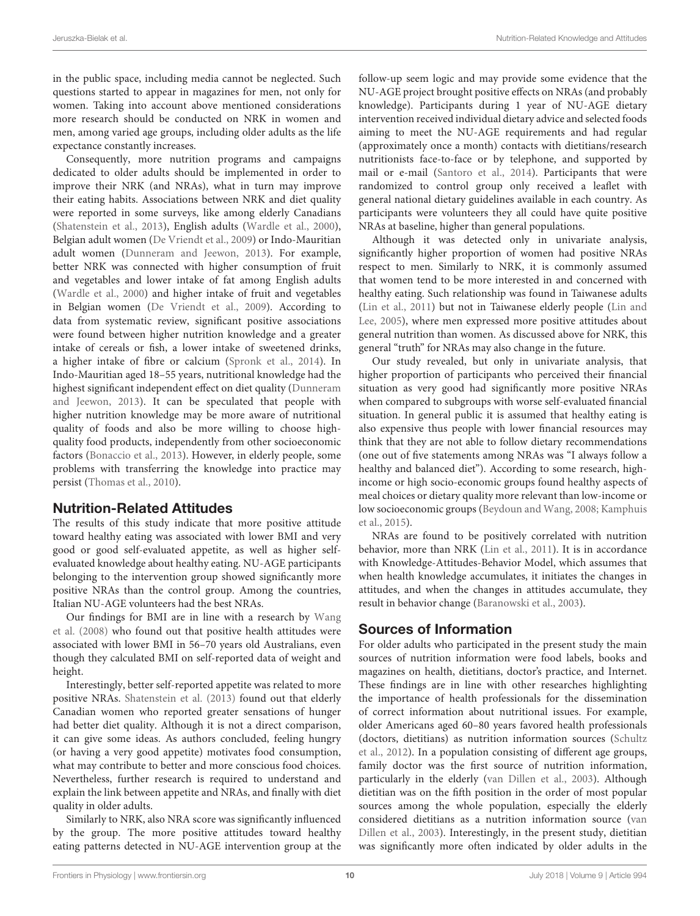in the public space, including media cannot be neglected. Such questions started to appear in magazines for men, not only for women. Taking into account above mentioned considerations more research should be conducted on NRK in women and men, among varied age groups, including older adults as the life expectance constantly increases.

Consequently, more nutrition programs and campaigns dedicated to older adults should be implemented in order to improve their NRK (and NRAs), what in turn may improve their eating habits. Associations between NRK and diet quality were reported in some surveys, like among elderly Canadians [\(Shatenstein et al., 2013\)](#page-11-16), English adults [\(Wardle et al., 2000\)](#page-12-8), Belgian adult women [\(De Vriendt et al., 2009\)](#page-11-9) or Indo-Mauritian adult women [\(Dunneram and Jeewon, 2013\)](#page-11-36). For example, better NRK was connected with higher consumption of fruit and vegetables and lower intake of fat among English adults [\(Wardle et al., 2000\)](#page-12-8) and higher intake of fruit and vegetables in Belgian women [\(De Vriendt et al., 2009\)](#page-11-9). According to data from systematic review, significant positive associations were found between higher nutrition knowledge and a greater intake of cereals or fish, a lower intake of sweetened drinks, a higher intake of fibre or calcium [\(Spronk et al., 2014\)](#page-12-4). In Indo-Mauritian aged 18–55 years, nutritional knowledge had the highest significant independent effect on diet quality (Dunneram and Jeewon, [2013\)](#page-11-36). It can be speculated that people with higher nutrition knowledge may be more aware of nutritional quality of foods and also be more willing to choose highquality food products, independently from other socioeconomic factors [\(Bonaccio et al., 2013\)](#page-11-30). However, in elderly people, some problems with transferring the knowledge into practice may persist [\(Thomas et al., 2010\)](#page-12-9).

### Nutrition-Related Attitudes

The results of this study indicate that more positive attitude toward healthy eating was associated with lower BMI and very good or good self-evaluated appetite, as well as higher selfevaluated knowledge about healthy eating. NU-AGE participants belonging to the intervention group showed significantly more positive NRAs than the control group. Among the countries, Italian NU-AGE volunteers had the best NRAs.

Our findings for BMI are in line with a research by Wang et al. [\(2008\)](#page-12-10) who found out that positive health attitudes were associated with lower BMI in 56–70 years old Australians, even though they calculated BMI on self-reported data of weight and height.

Interestingly, better self-reported appetite was related to more positive NRAs. [Shatenstein et al. \(2013\)](#page-11-16) found out that elderly Canadian women who reported greater sensations of hunger had better diet quality. Although it is not a direct comparison, it can give some ideas. As authors concluded, feeling hungry (or having a very good appetite) motivates food consumption, what may contribute to better and more conscious food choices. Nevertheless, further research is required to understand and explain the link between appetite and NRAs, and finally with diet quality in older adults.

Similarly to NRK, also NRA score was significantly influenced by the group. The more positive attitudes toward healthy eating patterns detected in NU-AGE intervention group at the follow-up seem logic and may provide some evidence that the NU-AGE project brought positive effects on NRAs (and probably knowledge). Participants during 1 year of NU-AGE dietary intervention received individual dietary advice and selected foods aiming to meet the NU-AGE requirements and had regular (approximately once a month) contacts with dietitians/research nutritionists face-to-face or by telephone, and supported by mail or e-mail [\(Santoro et al., 2014\)](#page-11-23). Participants that were randomized to control group only received a leaflet with general national dietary guidelines available in each country. As participants were volunteers they all could have quite positive NRAs at baseline, higher than general populations.

Although it was detected only in univariate analysis, significantly higher proportion of women had positive NRAs respect to men. Similarly to NRK, it is commonly assumed that women tend to be more interested in and concerned with healthy eating. Such relationship was found in Taiwanese adults [\(Lin et al., 2011\)](#page-11-15) but not in Taiwanese elderly people (Lin and Lee, [2005\)](#page-11-7), where men expressed more positive attitudes about general nutrition than women. As discussed above for NRK, this general "truth" for NRAs may also change in the future.

Our study revealed, but only in univariate analysis, that higher proportion of participants who perceived their financial situation as very good had significantly more positive NRAs when compared to subgroups with worse self-evaluated financial situation. In general public it is assumed that healthy eating is also expensive thus people with lower financial resources may think that they are not able to follow dietary recommendations (one out of five statements among NRAs was "I always follow a healthy and balanced diet"). According to some research, highincome or high socio-economic groups found healthy aspects of meal choices or dietary quality more relevant than low-income or low socioeconomic groups [\(Beydoun and Wang, 2008;](#page-11-37) Kamphuis et al., [2015\)](#page-11-38).

NRAs are found to be positively correlated with nutrition behavior, more than NRK [\(Lin et al., 2011\)](#page-11-15). It is in accordance with Knowledge-Attitudes-Behavior Model, which assumes that when health knowledge accumulates, it initiates the changes in attitudes, and when the changes in attitudes accumulate, they result in behavior change [\(Baranowski et al., 2003\)](#page-10-4).

# Sources of Information

For older adults who participated in the present study the main sources of nutrition information were food labels, books and magazines on health, dietitians, doctor's practice, and Internet. These findings are in line with other researches highlighting the importance of health professionals for the dissemination of correct information about nutritional issues. For example, older Americans aged 60–80 years favored health professionals (doctors, dietitians) as nutrition information sources (Schultz et al., [2012\)](#page-11-39). In a population consisting of different age groups, family doctor was the first source of nutrition information, particularly in the elderly [\(van Dillen et al., 2003\)](#page-12-11). Although dietitian was on the fifth position in the order of most popular sources among the whole population, especially the elderly considered dietitians as a nutrition information source (van Dillen et al., [2003\)](#page-12-11). Interestingly, in the present study, dietitian was significantly more often indicated by older adults in the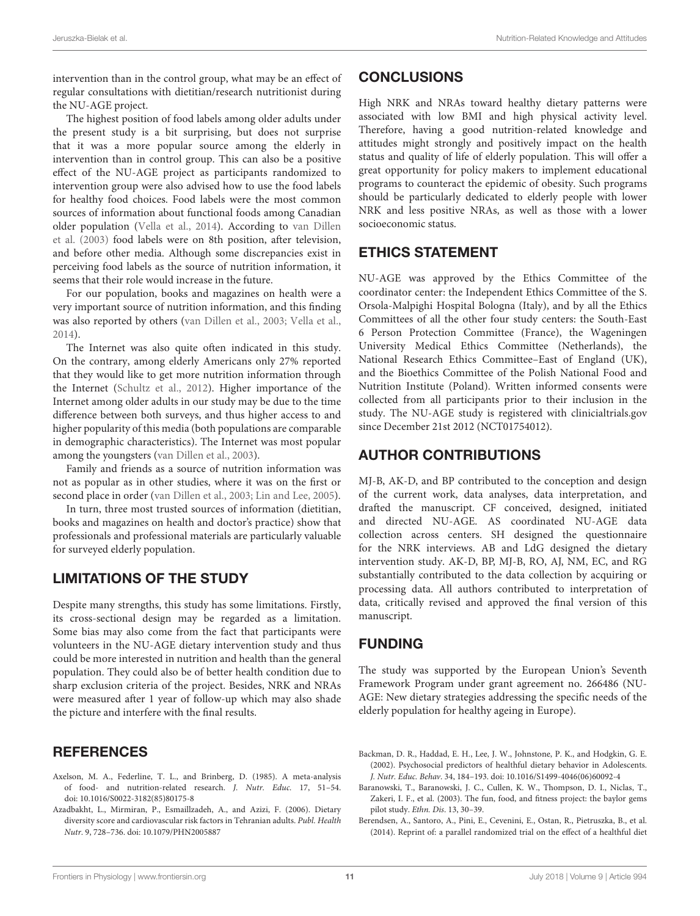intervention than in the control group, what may be an effect of regular consultations with dietitian/research nutritionist during the NU-AGE project.

The highest position of food labels among older adults under the present study is a bit surprising, but does not surprise that it was a more popular source among the elderly in intervention than in control group. This can also be a positive effect of the NU-AGE project as participants randomized to intervention group were also advised how to use the food labels for healthy food choices. Food labels were the most common sources of information about functional foods among Canadian older population [\(Vella et al., 2014\)](#page-12-12). According to van Dillen et al. [\(2003\)](#page-12-11) food labels were on 8th position, after television, and before other media. Although some discrepancies exist in perceiving food labels as the source of nutrition information, it seems that their role would increase in the future.

For our population, books and magazines on health were a very important source of nutrition information, and this finding was also reported by others [\(van Dillen et al., 2003;](#page-12-11) [Vella et al.,](#page-12-12) [2014\)](#page-12-12).

The Internet was also quite often indicated in this study. On the contrary, among elderly Americans only 27% reported that they would like to get more nutrition information through the Internet [\(Schultz et al., 2012\)](#page-11-39). Higher importance of the Internet among older adults in our study may be due to the time difference between both surveys, and thus higher access to and higher popularity of this media (both populations are comparable in demographic characteristics). The Internet was most popular among the youngsters [\(van Dillen et al., 2003\)](#page-12-11).

Family and friends as a source of nutrition information was not as popular as in other studies, where it was on the first or second place in order [\(van Dillen et al., 2003;](#page-12-11) [Lin and Lee, 2005\)](#page-11-7).

In turn, three most trusted sources of information (dietitian, books and magazines on health and doctor's practice) show that professionals and professional materials are particularly valuable for surveyed elderly population.

# LIMITATIONS OF THE STUDY

Despite many strengths, this study has some limitations. Firstly, its cross-sectional design may be regarded as a limitation. Some bias may also come from the fact that participants were volunteers in the NU-AGE dietary intervention study and thus could be more interested in nutrition and health than the general population. They could also be of better health condition due to sharp exclusion criteria of the project. Besides, NRK and NRAs were measured after 1 year of follow-up which may also shade the picture and interfere with the final results.

# **REFERENCES**

- <span id="page-10-1"></span>Axelson, M. A., Federline, T. L., and Brinberg, D. (1985). A meta-analysis of food- and nutrition-related research. J. Nutr. Educ. 17, 51–54. doi: [10.1016/S0022-3182\(85\)80175-8](https://doi.org/10.1016/S0022-3182(85)80175-8)
- <span id="page-10-3"></span>Azadbakht, L., Mirmiran, P., Esmaillzadeh, A., and Azizi, F. (2006). Dietary diversity score and cardiovascular risk factors in Tehranian adults. Publ. Health Nutr. 9, 728–736. doi: [10.1079/PHN2005887](https://doi.org/10.1079/PHN2005887)

## **CONCLUSIONS**

High NRK and NRAs toward healthy dietary patterns were associated with low BMI and high physical activity level. Therefore, having a good nutrition-related knowledge and attitudes might strongly and positively impact on the health status and quality of life of elderly population. This will offer a great opportunity for policy makers to implement educational programs to counteract the epidemic of obesity. Such programs should be particularly dedicated to elderly people with lower NRK and less positive NRAs, as well as those with a lower socioeconomic status.

# ETHICS STATEMENT

NU-AGE was approved by the Ethics Committee of the coordinator center: the Independent Ethics Committee of the S. Orsola-Malpighi Hospital Bologna (Italy), and by all the Ethics Committees of all the other four study centers: the South-East 6 Person Protection Committee (France), the Wageningen University Medical Ethics Committee (Netherlands), the National Research Ethics Committee–East of England (UK), and the Bioethics Committee of the Polish National Food and Nutrition Institute (Poland). Written informed consents were collected from all participants prior to their inclusion in the study. The NU-AGE study is registered with [clinicialtrials.gov](https://www.clinicialtrials.gov) since December 21st 2012 (NCT01754012).

# AUTHOR CONTRIBUTIONS

MJ-B, AK-D, and BP contributed to the conception and design of the current work, data analyses, data interpretation, and drafted the manuscript. CF conceived, designed, initiated and directed NU-AGE. AS coordinated NU-AGE data collection across centers. SH designed the questionnaire for the NRK interviews. AB and LdG designed the dietary intervention study. AK-D, BP, MJ-B, RO, AJ, NM, EC, and RG substantially contributed to the data collection by acquiring or processing data. All authors contributed to interpretation of data, critically revised and approved the final version of this manuscript.

# FUNDING

The study was supported by the European Union's Seventh Framework Program under grant agreement no. 266486 (NU-AGE: New dietary strategies addressing the specific needs of the elderly population for healthy ageing in Europe).

- <span id="page-10-2"></span>Backman, D. R., Haddad, E. H., Lee, J. W., Johnstone, P. K., and Hodgkin, G. E. (2002). Psychosocial predictors of healthful dietary behavior in Adolescents. J. Nutr. Educ. Behav. 34, 184–193. doi: [10.1016/S1499-4046\(06\)60092-4](https://doi.org/10.1016/S1499-4046(06)60092-4)
- <span id="page-10-4"></span>Baranowski, T., Baranowski, J. C., Cullen, K. W., Thompson, D. I., Niclas, T., Zakeri, I. F., et al. (2003). The fun, food, and fitness project: the baylor gems pilot study. Ethn. Dis. 13, 30–39.
- <span id="page-10-0"></span>Berendsen, A., Santoro, A., Pini, E., Cevenini, E., Ostan, R., Pietruszka, B., et al. (2014). Reprint of: a parallel randomized trial on the effect of a healthful diet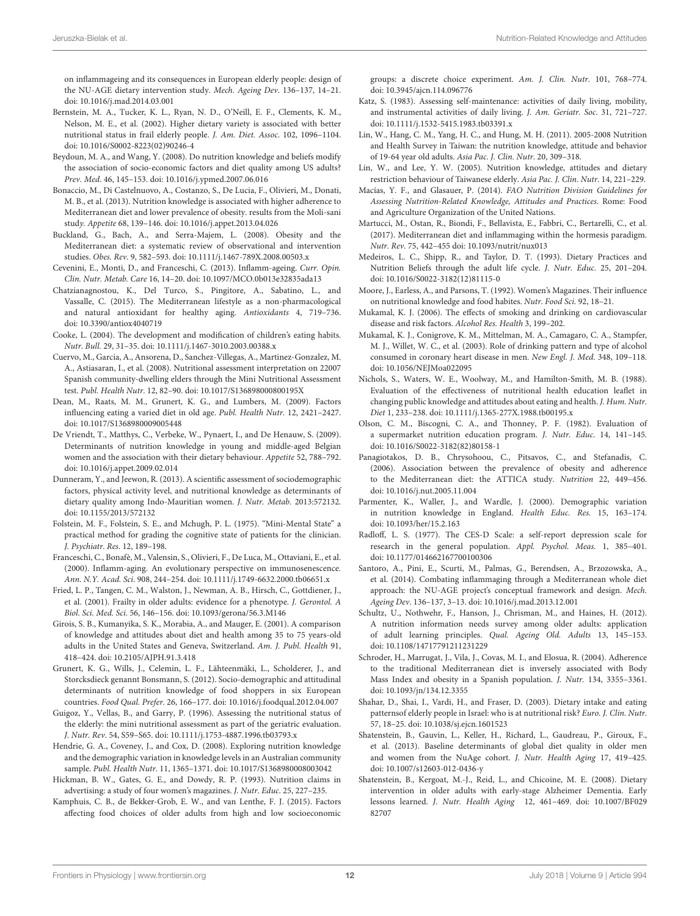on inflammageing and its consequences in European elderly people: design of the NU-AGE dietary intervention study. Mech. Ageing Dev. 136–137, 14–21. doi: [10.1016/j.mad.2014.03.001](https://doi.org/10.1016/j.mad.2014.03.001)

- <span id="page-11-34"></span>Bernstein, M. A., Tucker, K. L., Ryan, N. D., O'Neill, E. F., Clements, K. M., Nelson, M. E., et al. (2002). Higher dietary variety is associated with better nutritional status in frail elderly people. J. Am. Diet. Assoc. 102, 1096–1104. doi: [10.1016/S0002-8223\(02\)90246-4](https://doi.org/10.1016/S0002-8223(02)90246-4)
- <span id="page-11-37"></span>Beydoun, M. A., and Wang, Y. (2008). Do nutrition knowledge and beliefs modify the association of socio-economic factors and diet quality among US adults? Prev. Med. 46, 145–153. doi: [10.1016/j.ypmed.2007.06.016](https://doi.org/10.1016/j.ypmed.2007.06.016)
- <span id="page-11-30"></span>Bonaccio, M., Di Castelnuovo, A., Costanzo, S., De Lucia, F., Olivieri, M., Donati, M. B., et al. (2013). Nutrition knowledge is associated with higher adherence to Mediterranean diet and lower prevalence of obesity. results from the Moli-sani study. Appetite 68, 139–146. doi: [10.1016/j.appet.2013.04.026](https://doi.org/10.1016/j.appet.2013.04.026)
- <span id="page-11-33"></span>Buckland, G., Bach, A., and Serra-Majem, L. (2008). Obesity and the Mediterranean diet: a systematic review of observational and intervention studies. Obes. Rev. 9, 582–593. doi: [10.1111/j.1467-789X.2008.00503.x](https://doi.org/10.1111/j.1467-789X.2008.00503.x)
- <span id="page-11-2"></span>Cevenini, E., Monti, D., and Franceschi, C. (2013). Inflamm-ageing. Curr. Opin. Clin. Nutr. Metab. Care 16, 14–20. doi: [10.1097/MCO.0b013e32835ada13](https://doi.org/10.1097/MCO.0b013e32835ada13)
- <span id="page-11-3"></span>Chatzianagnostou, K., Del Turco, S., Pingitore, A., Sabatino, L., and Vassalle, C. (2015). The Mediterranean lifestyle as a non-pharmacological and natural antioxidant for healthy aging. Antioxidants 4, 719–736. doi: [10.3390/antiox4040719](https://doi.org/10.3390/antiox4040719)
- <span id="page-11-20"></span>Cooke, L. (2004). The development and modification of children's eating habits. Nutr. Bull. 29, 31–35. doi: [10.1111/j.1467-3010.2003.00388.x](https://doi.org/10.1111/j.1467-3010.2003.00388.x)
- <span id="page-11-27"></span>Cuervo, M., Garcia, A., Ansorena, D., Sanchez-Villegas, A., Martinez-Gonzalez, M. A., Astiasaran, I., et al. (2008). Nutritional assessment interpretation on 22007 Spanish community-dwelling elders through the Mini Nutritional Assessment test. Publ. Health Nutr. 12, 82–90. doi: [10.1017/S136898000800195X](https://doi.org/10.1017/S136898000800195X)
- <span id="page-11-0"></span>Dean, M., Raats, M. M., Grunert, K. G., and Lumbers, M. (2009). Factors influencing eating a varied diet in old age. Publ. Health Nutr. 12, 2421–2427. doi: [10.1017/S1368980009005448](https://doi.org/10.1017/S1368980009005448)
- <span id="page-11-9"></span>De Vriendt, T., Matthys, C., Verbeke, W., Pynaert, I., and De Henauw, S. (2009). Determinants of nutrition knowledge in young and middle-aged Belgian women and the association with their dietary behaviour. Appetite 52, 788–792. doi: [10.1016/j.appet.2009.02.014](https://doi.org/10.1016/j.appet.2009.02.014)
- <span id="page-11-36"></span>Dunneram, Y., and Jeewon, R. (2013). A scientific assessment of sociodemographic factors, physical activity level, and nutritional knowledge as determinants of dietary quality among Indo-Mauritian women. J. Nutr. Metab. 2013:572132. doi: [10.1155/2013/572132](https://doi.org/10.1155/2013/572132)
- <span id="page-11-25"></span>Folstein, M. F., Folstein, S. E., and Mchugh, P. L. (1975). "Mini-Mental State" a practical method for grading the cognitive state of patients for the clinician. J. Psychiatr. Res. 12, 189–198.
- <span id="page-11-1"></span>Franceschi, C., Bonafè, M., Valensin, S., Olivieri, F., De Luca, M., Ottaviani, E., et al. (2000). Inflamm-aging. An evolutionary perspective on immunosenescence. Ann. N.Y. Acad. Sci. 908, 244–254. doi: [10.1111/j.1749-6632.2000.tb06651.x](https://doi.org/10.1111/j.1749-6632.2000.tb06651.x)
- <span id="page-11-22"></span>Fried, L. P., Tangen, C. M., Walston, J., Newman, A. B., Hirsch, C., Gottdiener, J., et al. (2001). Frailty in older adults: evidence for a phenotype. J. Gerontol. A Biol. Sci. Med. Sci. 56, 146–156. doi: [10.1093/gerona/56.3.M146](https://doi.org/10.1093/gerona/56.3.M146)
- <span id="page-11-29"></span>Girois, S. B., Kumanyika, S. K., Morabia, A., and Mauger, E. (2001). A comparison of knowledge and attitudes about diet and health among 35 to 75 years-old adults in the United States and Geneva, Switzerland. Am. J. Publ. Health 91, 418–424. doi: [10.2105/AJPH.91.3.418](https://doi.org/10.2105/AJPH.91.3.418)
- <span id="page-11-35"></span>Grunert, K. G., Wills, J., Celemin, L. F., Lähteenmäki, L., Scholderer, J., and Storcksdieck genannt Bonsmann, S. (2012). Socio-demographic and attitudinal determinants of nutrition knowledge of food shoppers in six European countries. Food Qual. Prefer. 26, 166–177. doi: [10.1016/j.foodqual.2012.04.007](https://doi.org/10.1016/j.foodqual.2012.04.007)
- <span id="page-11-24"></span>Guigoz, Y., Vellas, B., and Garry, P. (1996). Assessing the nutritional status of the elderly: the mini nutritional assessment as part of the geriatric evaluation. J. Nutr. Rev. 54, S59–S65. doi: [10.1111/j.1753-4887.1996.tb03793.x](https://doi.org/10.1111/j.1753-4887.1996.tb03793.x)
- <span id="page-11-14"></span>Hendrie, G. A., Coveney, J., and Cox, D. (2008). Exploring nutrition knowledge and the demographic variation in knowledge levels in an Australian community sample. Publ. Health Nutr. 11, 1365–1371. doi: [10.1017/S1368980008003042](https://doi.org/10.1017/S1368980008003042)
- <span id="page-11-12"></span>Hickman, B. W., Gates, G. E., and Dowdy, R. P. (1993). Nutrition claims in advertising: a study of four women's magazines. J. Nutr. Educ. 25, 227–235.
- <span id="page-11-38"></span>Kamphuis, C. B., de Bekker-Grob, E. W., and van Lenthe, F. J. (2015). Factors affecting food choices of older adults from high and low socioeconomic

groups: a discrete choice experiment. Am. J. Clin. Nutr. 101, 768–774. doi: [10.3945/ajcn.114.096776](https://doi.org/10.3945/ajcn.114.096776)

- <span id="page-11-26"></span>Katz, S. (1983). Assessing self-maintenance: activities of daily living, mobility, and instrumental activities of daily living. J. Am. Geriatr. Soc. 31, 721–727. doi: [10.1111/j.1532-5415.1983.tb03391.x](https://doi.org/10.1111/j.1532-5415.1983.tb03391.x)
- <span id="page-11-15"></span>Lin, W., Hang, C. M., Yang, H. C., and Hung, M. H. (2011). 2005-2008 Nutrition and Health Survey in Taiwan: the nutrition knowledge, attitude and behavior of 19-64 year old adults. Asia Pac. J. Clin. Nutr. 20, 309–318.
- <span id="page-11-7"></span>Lin, W., and Lee, Y. W. (2005). Nutrition knowledge, attitudes and dietary restriction behaviour of Taiwanese elderly. Asia Pac. J. Clin. Nutr. 14, 221–229.
- <span id="page-11-5"></span>Macías, Y. F., and Glasauer, P. (2014). FAO Nutrition Division Guidelines for Assessing Nutrition-Related Knowledge, Attitudes and Practices. Rome: Food and Agriculture Organization of the United Nations.
- <span id="page-11-4"></span>Martucci, M., Ostan, R., Biondi, F., Bellavista, E., Fabbri, C., Bertarelli, C., et al. (2017). Mediterranean diet and inflammaging within the hormesis paradigm. Nutr. Rev. 75, 442–455 doi: [10.1093/nutrit/nux013](https://doi.org/10.1093/nutrit/nux013)
- <span id="page-11-17"></span>Medeiros, L. C., Shipp, R., and Taylor, D. T. (1993). Dietary Practices and Nutrition Beliefs through the adult life cycle. J. Nutr. Educ. 25, 201–204. doi: [10.1016/S0022-3182\(12\)81115-0](https://doi.org/10.1016/S0022-3182(12)81115-0)
- <span id="page-11-6"></span>Moore, J., Earless, A., and Parsons, T. (1992). Women's Magazines. Their influence on nutritional knowledge and food habites. Nutr. Food Sci. 92, 18–21.
- <span id="page-11-19"></span>Mukamal, K. J. (2006). The effects of smoking and drinking on cardiovascular disease and risk factors. Alcohol Res. Health 3, 199–202.
- <span id="page-11-18"></span>Mukamal, K. J., Conigrove, K. M., Mittelman, M. A., Camagaro, C. A., Stampfer, M. J., Willet, W. C., et al. (2003). Role of drinking pattern and type of alcohol consumed in coronary heart disease in men. New Engl. J. Med. 348, 109–118. doi: [10.1056/NEJMoa022095](https://doi.org/10.1056/NEJMoa022095)
- <span id="page-11-11"></span>Nichols, S., Waters, W. E., Woolway, M., and Hamilton-Smith, M. B. (1988). Evaluation of the effectiveness of nutritional health education leaflet in changing public knowledge and attitudes about eating and health. J. Hum. Nutr. Diet 1, 233–238. doi: [10.1111/j.1365-277X.1988.tb00195.x](https://doi.org/10.1111/j.1365-277X.1988.tb00195.x)
- <span id="page-11-10"></span>Olson, C. M., Biscogni, C. A., and Thonney, P. F. (1982). Evaluation of a supermarket nutrition education program. J. Nutr. Educ. 14, 141–145. doi: [10.1016/S0022-3182\(82\)80158-1](https://doi.org/10.1016/S0022-3182(82)80158-1)
- <span id="page-11-32"></span>Panagiotakos, D. B., Chrysohoou, C., Pitsavos, C., and Stefanadis, C. (2006). Association between the prevalence of obesity and adherence to the Mediterranean diet: the ATTICA study. Nutrition 22, 449–456. doi: [10.1016/j.nut.2005.11.004](https://doi.org/10.1016/j.nut.2005.11.004)
- <span id="page-11-13"></span>Parmenter, K., Waller, J., and Wardle, J. (2000). Demographic variation in nutrition knowledge in England. Health Educ. Res. 15, 163–174. doi: [10.1093/her/15.2.163](https://doi.org/10.1093/her/15.2.163)
- <span id="page-11-28"></span>Radloff, L. S. (1977). The CES-D Scale: a self-report depression scale for research in the general population. Appl. Psychol. Meas. 1, 385–401. doi: [10.1177/014662167700100306](https://doi.org/10.1177/014662167700100306)
- <span id="page-11-23"></span>Santoro, A., Pini, E., Scurti, M., Palmas, G., Berendsen, A., Brzozowska, A., et al. (2014). Combating inflammaging through a Mediterranean whole diet approach: the NU-AGE project's conceptual framework and design. Mech. Ageing Dev. 136–137, 3–13. doi: [10.1016/j.mad.2013.12.001](https://doi.org/10.1016/j.mad.2013.12.001)
- <span id="page-11-39"></span>Schultz, U., Nothwehr, F., Hanson, J., Chrisman, M., and Haines, H. (2012). A nutrition information needs survey among older adults: application of adult learning principles. Qual. Ageing Old. Adults 13, 145–153. doi: [10.1108/14717791211231229](https://doi.org/10.1108/14717791211231229)
- <span id="page-11-31"></span>Schroder, H., Marrugat, J., Vila, J., Covas, M. I., and Elosua, R. (2004). Adherence to the traditional Mediterranean diet is inversely associated with Body Mass Index and obesity in a Spanish population. J. Nutr. 134, 3355–3361. doi: [10.1093/jn/134.12.3355](https://doi.org/10.1093/jn/134.12.3355)
- <span id="page-11-21"></span>Shahar, D., Shai, I., Vardi, H., and Fraser, D. (2003). Dietary intake and eating patternsof elderly people in Israel: who is at nutritional risk? Euro. J. Clin. Nutr. 57, 18–25. doi: [10.1038/sj.ejcn.1601523](https://doi.org/10.1038/sj.ejcn.1601523)
- <span id="page-11-16"></span>Shatenstein, B., Gauvin, L., Keller, H., Richard, L., Gaudreau, P., Giroux, F., et al. (2013). Baseline determinants of global diet quality in older men and women from the NuAge cohort. J. Nutr. Health Aging 17, 419–425. doi: [10.1007/s12603-012-0436-y](https://doi.org/10.1007/s12603-012-0436-y)
- <span id="page-11-8"></span>Shatenstein, B., Kergoat, M.-J., Reid, L., and Chicoine, M. E. (2008). Dietary intervention in older adults with early-stage Alzheimer Dementia. Early lessons learned. J. Nutr. Health Aging [12, 461–469. doi: 10.1007/BF029](https://doi.org/10.1007/BF02982707) 82707